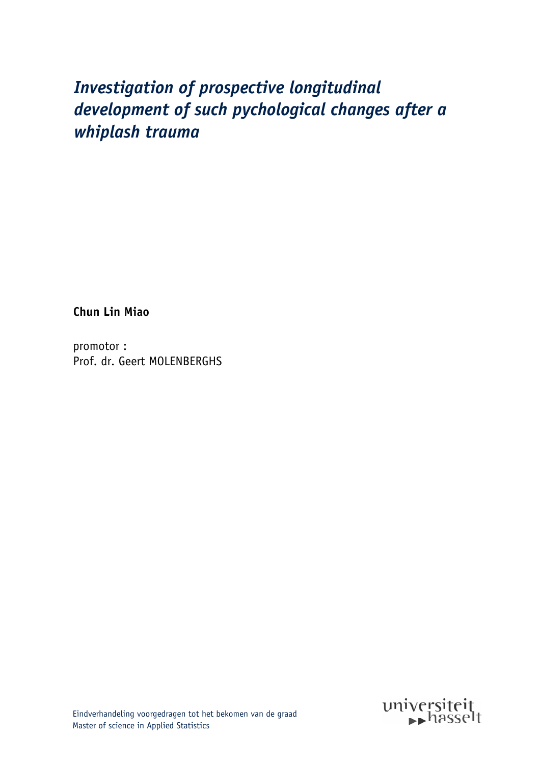# Investigation of prospective longitudinal development of such pychological changes after a whiplash trauma

**Chun Lin Miao** 

promotor: Prof. dr. Geert MOLENBERGHS

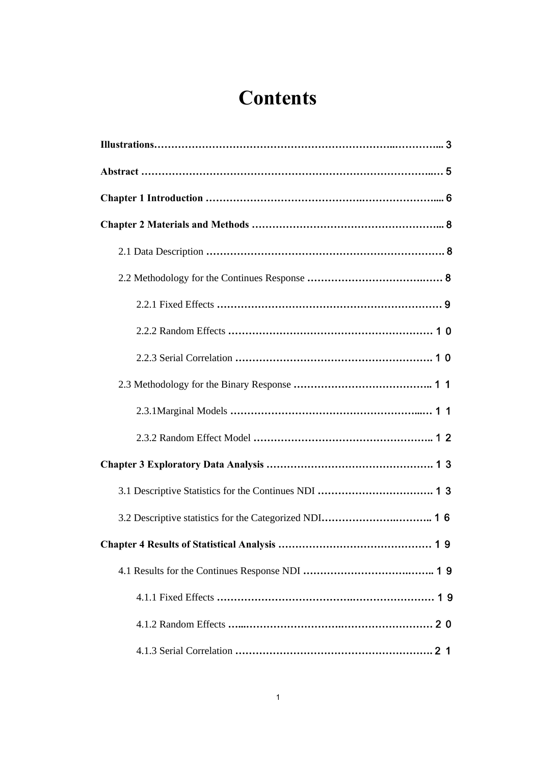# **Contents**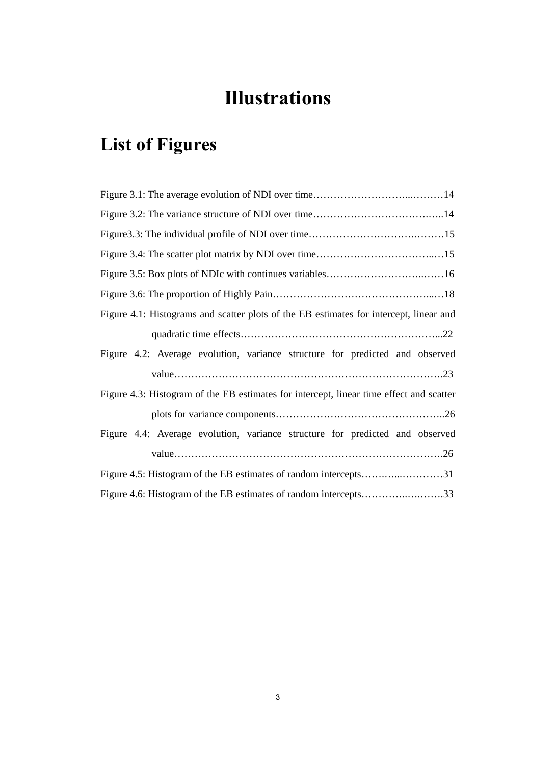# **Illustrations**

# **List of Figures**

| Figure 4.1: Histograms and scatter plots of the EB estimates for intercept, linear and  |
|-----------------------------------------------------------------------------------------|
|                                                                                         |
| Figure 4.2: Average evolution, variance structure for predicted and observed            |
|                                                                                         |
| Figure 4.3: Histogram of the EB estimates for intercept, linear time effect and scatter |
|                                                                                         |
| Figure 4.4: Average evolution, variance structure for predicted and observed            |
|                                                                                         |
| Figure 4.5: Histogram of the EB estimates of random intercepts31                        |
| Figure 4.6: Histogram of the EB estimates of random intercepts33                        |
|                                                                                         |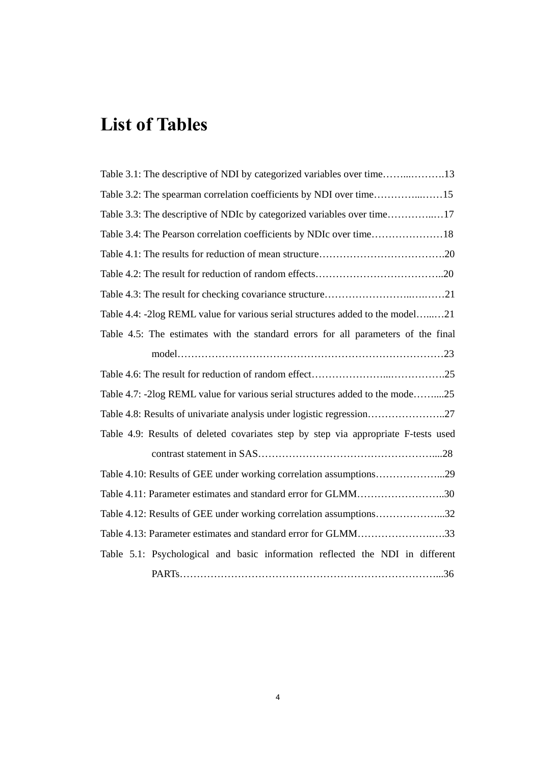# **List of Tables**

| Table 3.2: The spearman correlation coefficients by NDI over time15                |
|------------------------------------------------------------------------------------|
| Table 3.3: The descriptive of NDIc by categorized variables over time17            |
|                                                                                    |
|                                                                                    |
|                                                                                    |
|                                                                                    |
| Table 4.4: -2log REML value for various serial structures added to the model21     |
| Table 4.5: The estimates with the standard errors for all parameters of the final  |
|                                                                                    |
|                                                                                    |
| Table 4.7: -2log REML value for various serial structures added to the mode25      |
|                                                                                    |
| Table 4.9: Results of deleted covariates step by step via appropriate F-tests used |
|                                                                                    |
|                                                                                    |
| Table 4.11: Parameter estimates and standard error for GLMM30                      |
| Table 4.12: Results of GEE under working correlation assumptions32                 |
| Table 4.13: Parameter estimates and standard error for GLMM33                      |
| Table 5.1: Psychological and basic information reflected the NDI in different      |
|                                                                                    |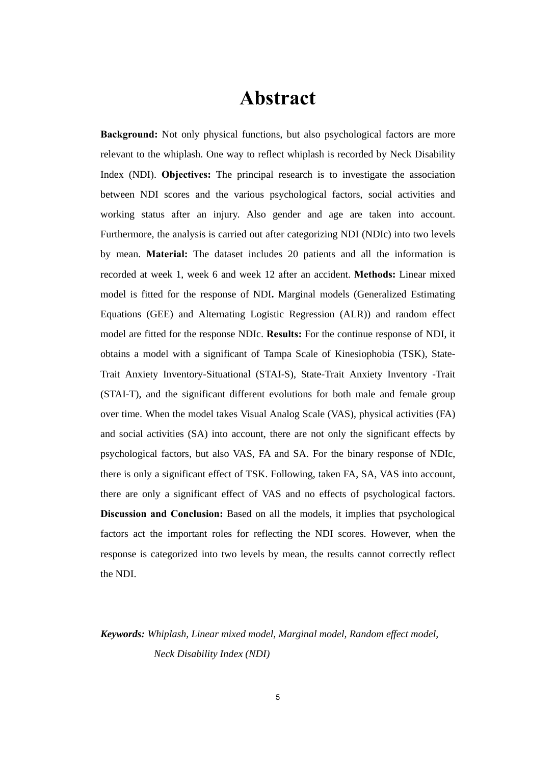## **Abstract**

**Background:** Not only physical functions, but also psychological factors are more relevant to the whiplash. One way to reflect whiplash is recorded by Neck Disability Index (NDI). **Objectives:** The principal research is to investigate the association between NDI scores and the various psychological factors, social activities and working status after an injury. Also gender and age are taken into account. Furthermore, the analysis is carried out after categorizing NDI (NDIc) into two levels by mean. **Material:** The dataset includes 20 patients and all the information is recorded at week 1, week 6 and week 12 after an accident. **Methods:** Linear mixed model is fitted for the response of NDI**.** Marginal models (Generalized Estimating Equations (GEE) and Alternating Logistic Regression (ALR)) and random effect model are fitted for the response NDIc. **Results:** For the continue response of NDI, it obtains a model with a significant of Tampa Scale of Kinesiophobia (TSK), State-Trait Anxiety Inventory-Situational (STAI-S), State-Trait Anxiety Inventory -Trait (STAI-T), and the significant different evolutions for both male and female group over time. When the model takes Visual Analog Scale (VAS), physical activities (FA) and social activities (SA) into account, there are not only the significant effects by psychological factors, but also VAS, FA and SA. For the binary response of NDIc, there is only a significant effect of TSK. Following, taken FA, SA, VAS into account, there are only a significant effect of VAS and no effects of psychological factors. **Discussion and Conclusion:** Based on all the models, it implies that psychological factors act the important roles for reflecting the NDI scores. However, when the response is categorized into two levels by mean, the results cannot correctly reflect the NDI.

### *Keywords: Whiplash, Linear mixed model, Marginal model, Random effect model, Neck Disability Index (NDI)*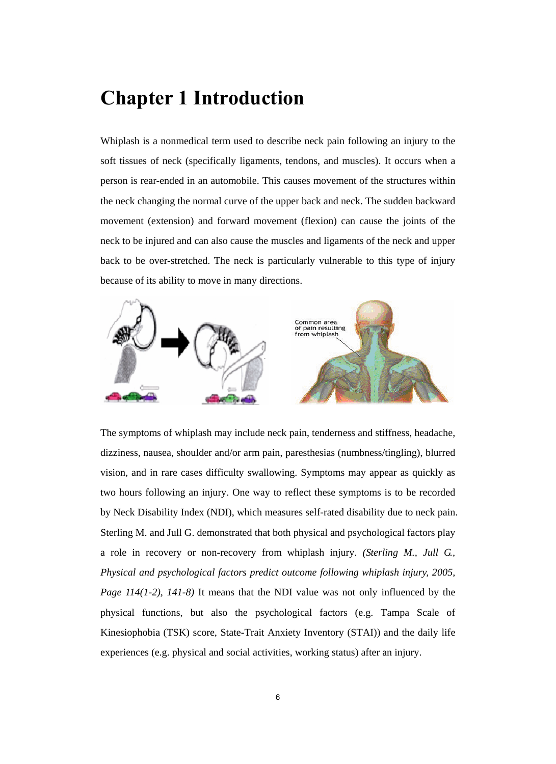## **Chapter 1 Introduction**

Whiplash is a nonmedical term used to describe neck pain following an injury to the soft tissues of neck (specifically ligaments, tendons, and muscles). It occurs when a person is rear-ended in an automobile. This causes movement of the structures within the neck changing the normal curve of the upper back and neck. The sudden backward movement (extension) and forward movement (flexion) can cause the joints of the neck to be injured and can also cause the muscles and ligaments of the neck and upper back to be over-stretched. The neck is particularly vulnerable to this type of injury because of its ability to move in many directions.



The symptoms of whiplash may include neck pain, tenderness and stiffness, headache, dizziness, nausea, shoulder and/or arm pain, paresthesias (numbness/tingling), blurred vision, and in rare cases difficulty swallowing. Symptoms may appear as quickly as two hours following an injury. One way to reflect these symptoms is to be recorded by Neck Disability Index (NDI), which measures self-rated disability due to neck pain. Sterling M. and Jull G. demonstrated that both physical and psychological factors play a role in recovery or non-recovery from whiplash injury. *(Sterling M., Jull G., Physical and psychological factors predict outcome following whiplash injury, 2005, Page 114(1-2), 141-8)* It means that the NDI value was not only influenced by the physical functions, but also the psychological factors (e.g. Tampa Scale of Kinesiophobia (TSK) score, State-Trait Anxiety Inventory (STAI)) and the daily life experiences (e.g. physical and social activities, working status) after an injury.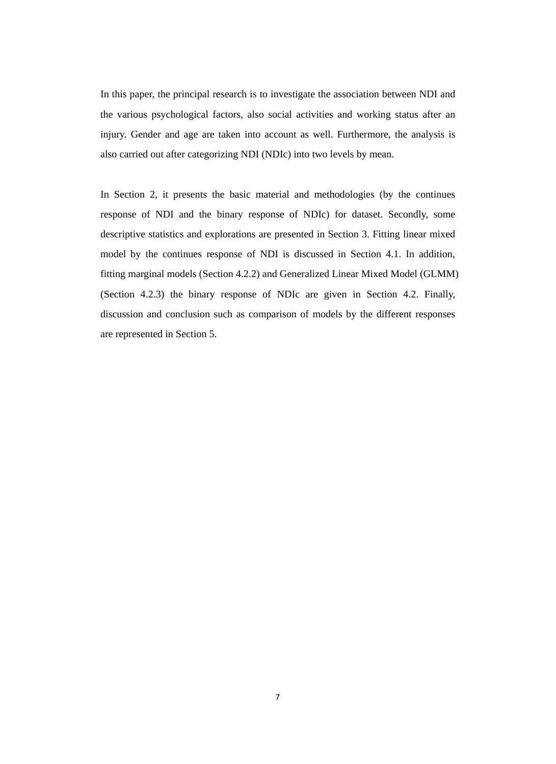In this paper, the principal research is to investigate the association between NDI and the various psychological factors, also social activities and working status after an injury. Gender and age are taken into account as well. Furthermore, the analysis is also carried out after categorizing NDI (NDIc) into two levels by mean.

In Section 2, it presents the basic material and methodologies (by the continues response of NDI and the binary response of NDIc) for dataset. Secondly, some descriptive statistics and explorations are presented in Section 3. Fitting linear mixed model by the continues response of NDI is discussed in Section 4.1. In addition, fitting marginal models (Section 4.2.2) and Generalized Linear Mixed Model (GLMM) (Section 4.2.3) the binary response of NDIc are given in Section 4.2. Finally, discussion and conclusion such as comparison of models by the different responses are represented in Section 5.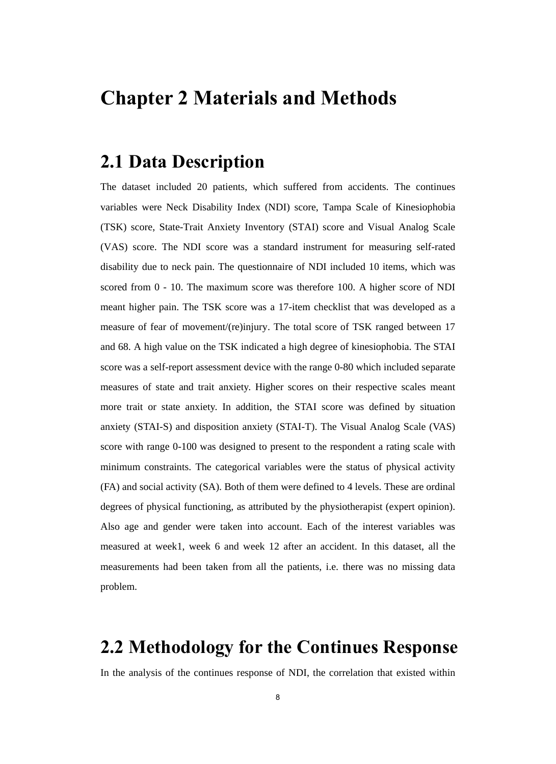## **Chapter 2 Materials and Methods**

## **2.1 Data Description**

The dataset included 20 patients, which suffered from accidents. The continues variables were Neck Disability Index (NDI) score, Tampa Scale of Kinesiophobia (TSK) score, State-Trait Anxiety Inventory (STAI) score and Visual Analog Scale (VAS) score. The NDI score was a standard instrument for measuring self-rated disability due to neck pain. The questionnaire of NDI included 10 items, which was scored from 0 - 10. The maximum score was therefore 100. A higher score of NDI meant higher pain. The TSK score was a 17-item checklist that was developed as a measure of fear of movement/(re)injury. The total score of TSK ranged between 17 and 68. A high value on the TSK indicated a high degree of kinesiophobia. The STAI score was a self-report assessment device with the range 0-80 which included separate measures of state and trait anxiety. Higher scores on their respective scales meant more trait or state anxiety. In addition, the STAI score was defined by situation anxiety (STAI-S) and disposition anxiety (STAI-T). The Visual Analog Scale (VAS) score with range 0-100 was designed to present to the respondent a rating scale with minimum constraints. The categorical variables were the status of physical activity (FA) and social activity (SA). Both of them were defined to 4 levels. These are ordinal degrees of physical functioning, as attributed by the physiotherapist (expert opinion). Also age and gender were taken into account. Each of the interest variables was measured at week1, week 6 and week 12 after an accident. In this dataset, all the measurements had been taken from all the patients, i.e. there was no missing data problem.

## **2.2 Methodology for the Continues Response**

In the analysis of the continues response of NDI, the correlation that existed within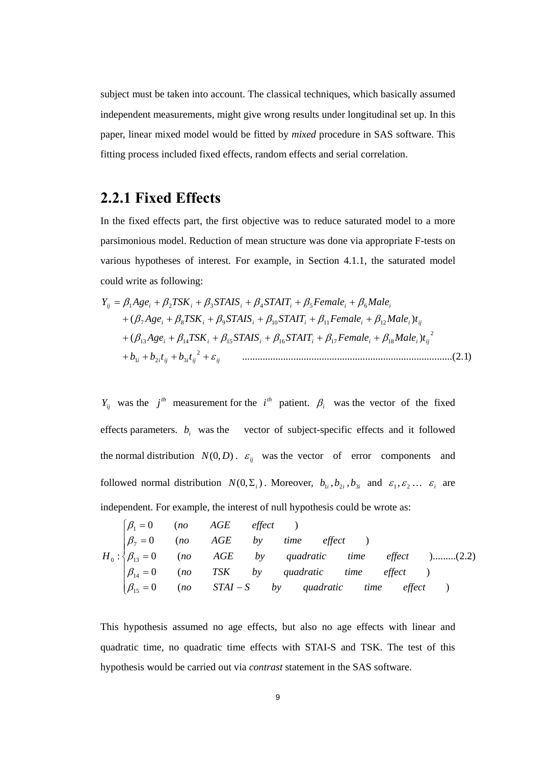subject must be taken into account. The classical techniques, which basically assumed independent measurements, might give wrong results under longitudinal set up. In this paper, linear mixed model would be fitted by *mixed* procedure in SAS software. This fitting process included fixed effects, random effects and serial correlation.

### **2.2.1 Fixed Effects**

In the fixed effects part, the first objective was to reduce saturated model to a more parsimonious model. Reduction of mean structure was done via appropriate F-tests on various hypotheses of interest. For example, in Section 4.1.1, the saturated model could write as following:

$$
Y_{ij} = \beta_1 Age_i + \beta_2 TSK_i + \beta_3 STAIS_i + \beta_4 STAIT_i + \beta_5 Female_i + \beta_6 Male_i
$$
  
+ 
$$
(\beta_7 Age_i + \beta_8 TSK_i + \beta_9 STAIS_i + \beta_{10} STAIT_i + \beta_{11} Female_i + \beta_{12} Male_i)t_{ij}
$$
  
+ 
$$
(\beta_{13} Age_i + \beta_{14} TSK_i + \beta_{15} STAIS_i + \beta_{16} STAIT_i + \beta_{17} Female_i + \beta_{18} Male_i)t_{ij}^2
$$
  
+ 
$$
b_{1i} + b_{2i}t_{ij} + b_{3i}t_{ij}^2 + \varepsilon_{ij}
$$
................. (2.1)

*Y<sub>ij</sub>* was the *j*<sup>th</sup> measurement for the *i*<sup>th</sup> patient.  $\beta$ <sub>*i*</sub> was the vector of the fixed effects parameters.  $b_i$  was the vector of subject-specific effects and it followed the normal distribution  $N(0, D)$ .  $\varepsilon_{ij}$  was the vector of error components and followed normal distribution  $N(0, \Sigma_i)$ . Moreover,  $b_{1i}, b_{2i}, b_{3i}$  and  $\varepsilon_1, \varepsilon_2 ... \varepsilon_i$  are independent. For example, the interest of null hypothesis could be wrote as:

$$
H_0: \begin{cases} \beta_1 = 0 & (no & AGE \ \beta_7 = 0 & (no & AGE \ b) \end{cases}
$$
time effect  
\n
$$
H_0: \begin{cases} \beta_1 = 0 & (no & AGE \ b) \end{cases}
$$
time effect  
\n
$$
\beta_{13} = 0 \quad (no & TSK \ b) \end{cases}
$$
quadratic time effect  
\n
$$
\beta_{14} = 0 \quad (no & TSK \ b) \end{cases}
$$
quadratic time effect  
\n
$$
\beta_{15} = 0 \quad (no & TAI - S \ b) \tquad quadratic \t{time effect} \t{effect}
$$

This hypothesis assumed no age effects, but also no age effects with linear and quadratic time, no quadratic time effects with STAI-S and TSK. The test of this hypothesis would be carried out via *contrast* statement in the SAS software.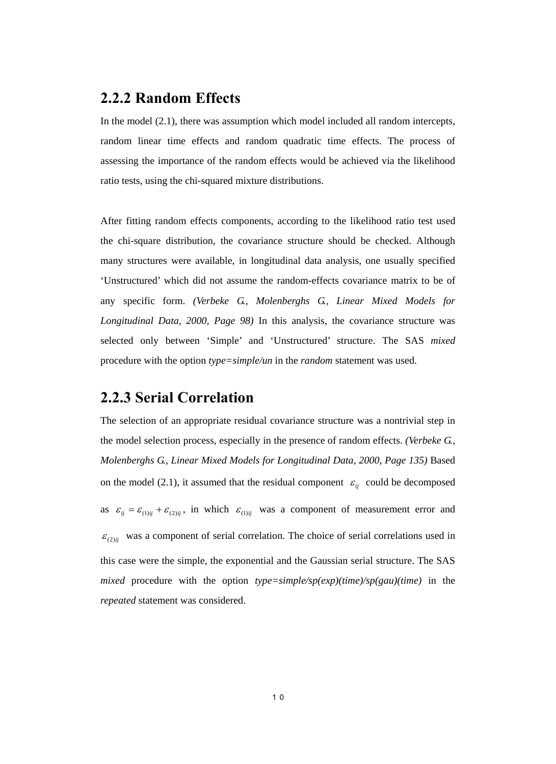#### **2.2.2 Random Effects**

In the model (2.1), there was assumption which model included all random intercepts, random linear time effects and random quadratic time effects. The process of assessing the importance of the random effects would be achieved via the likelihood ratio tests, using the chi-squared mixture distributions.

After fitting random effects components, according to the likelihood ratio test used the chi-square distribution, the covariance structure should be checked. Although many structures were available, in longitudinal data analysis, one usually specified 'Unstructured' which did not assume the random-effects covariance matrix to be of any specific form. *(Verbeke G., Molenberghs G., Linear Mixed Models for Longitudinal Data, 2000, Page 98)* In this analysis, the covariance structure was selected only between 'Simple' and 'Unstructured' structure. The SAS *mixed* procedure with the option *type=simple/un* in the *random* statement was used.

### **2.2.3 Serial Correlation**

The selection of an appropriate residual covariance structure was a nontrivial step in the model selection process, especially in the presence of random effects. *(Verbeke G., Molenberghs G., Linear Mixed Models for Longitudinal Data, 2000, Page 135)* Based on the model (2.1), it assumed that the residual component  $\varepsilon_{ij}$  could be decomposed as  $\varepsilon_{ij} = \varepsilon_{(1)ij} + \varepsilon_{(2)ij}$ , in which  $\varepsilon_{(1)ij}$  was a component of measurement error and  $\mathcal{E}_{(2)ii}$  was a component of serial correlation. The choice of serial correlations used in this case were the simple, the exponential and the Gaussian serial structure. The SAS *mixed* procedure with the option *type=simple/sp(exp)(time)/sp(gau)(time)* in the *repeated* statement was considered.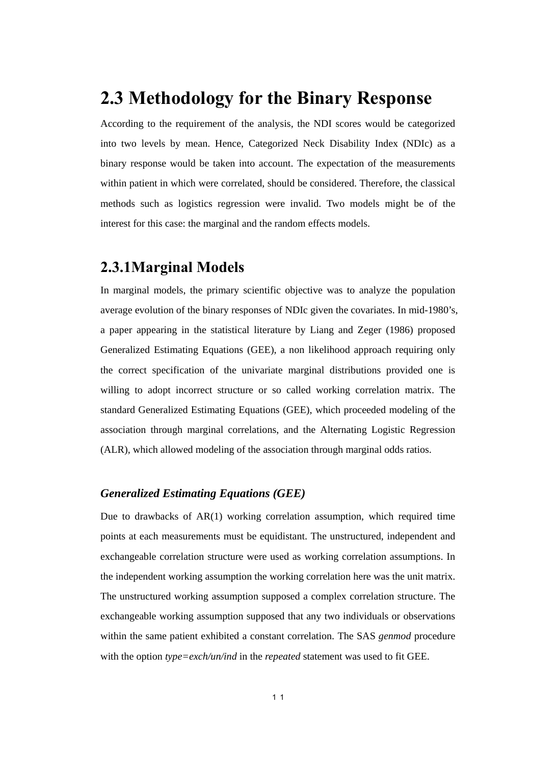## **2.3 Methodology for the Binary Response**

According to the requirement of the analysis, the NDI scores would be categorized into two levels by mean. Hence, Categorized Neck Disability Index (NDIc) as a binary response would be taken into account. The expectation of the measurements within patient in which were correlated, should be considered. Therefore, the classical methods such as logistics regression were invalid. Two models might be of the interest for this case: the marginal and the random effects models.

### **2.3.1Marginal Models**

In marginal models, the primary scientific objective was to analyze the population average evolution of the binary responses of NDIc given the covariates. In mid-1980's, a paper appearing in the statistical literature by Liang and Zeger (1986) proposed Generalized Estimating Equations (GEE), a non likelihood approach requiring only the correct specification of the univariate marginal distributions provided one is willing to adopt incorrect structure or so called working correlation matrix. The standard Generalized Estimating Equations (GEE), which proceeded modeling of the association through marginal correlations, and the Alternating Logistic Regression (ALR), which allowed modeling of the association through marginal odds ratios.

#### *Generalized Estimating Equations (GEE)*

Due to drawbacks of AR(1) working correlation assumption, which required time points at each measurements must be equidistant. The unstructured, independent and exchangeable correlation structure were used as working correlation assumptions. In the independent working assumption the working correlation here was the unit matrix. The unstructured working assumption supposed a complex correlation structure. The exchangeable working assumption supposed that any two individuals or observations within the same patient exhibited a constant correlation. The SAS *genmod* procedure with the option *type=exch/un/ind* in the *repeated* statement was used to fit GEE.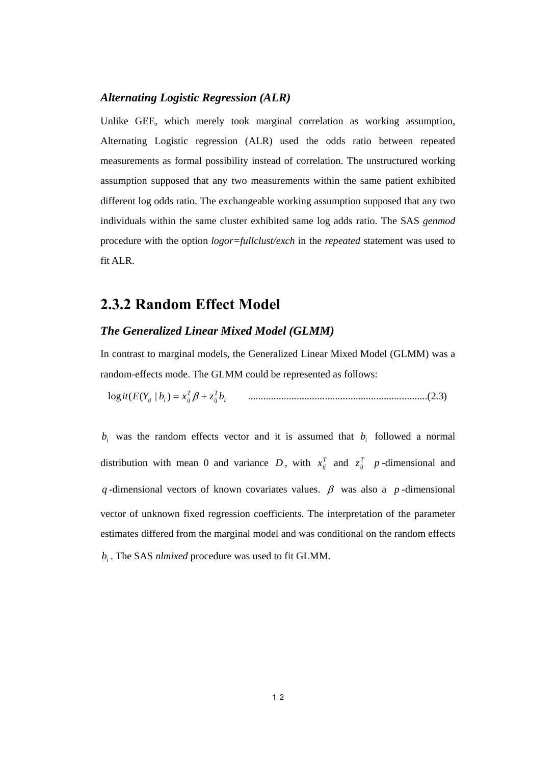#### *Alternating Logistic Regression (ALR)*

Unlike GEE, which merely took marginal correlation as working assumption, Alternating Logistic regression (ALR) used the odds ratio between repeated measurements as formal possibility instead of correlation. The unstructured working assumption supposed that any two measurements within the same patient exhibited different log odds ratio. The exchangeable working assumption supposed that any two individuals within the same cluster exhibited same log adds ratio. The SAS *genmod* procedure with the option *logor=fullclust/exch* in the *repeated* statement was used to fit ALR.

### **2.3.2 Random Effect Model**

#### *The Generalized Linear Mixed Model (GLMM)*

In contrast to marginal models, the Generalized Linear Mixed Model (GLMM) was a random-effects mode. The GLMM could be represented as follows:

log ( ( | ) ......................................................................(2.3) *<sup>i</sup> T ij T ij <sup>i</sup> ij it E Y b* = *x* β + *z b*

 $b_i$  was the random effects vector and it is assumed that  $b_i$  followed a normal distribution with mean 0 and variance *D*, with  $x_{ij}^T$  and  $z_{ij}^T$  *p*-dimensional and *q* -dimensional vectors of known covariates values.  $\beta$  was also a *p* -dimensional vector of unknown fixed regression coefficients. The interpretation of the parameter estimates differed from the marginal model and was conditional on the random effects *bi* . The SAS *nlmixed* procedure was used to fit GLMM.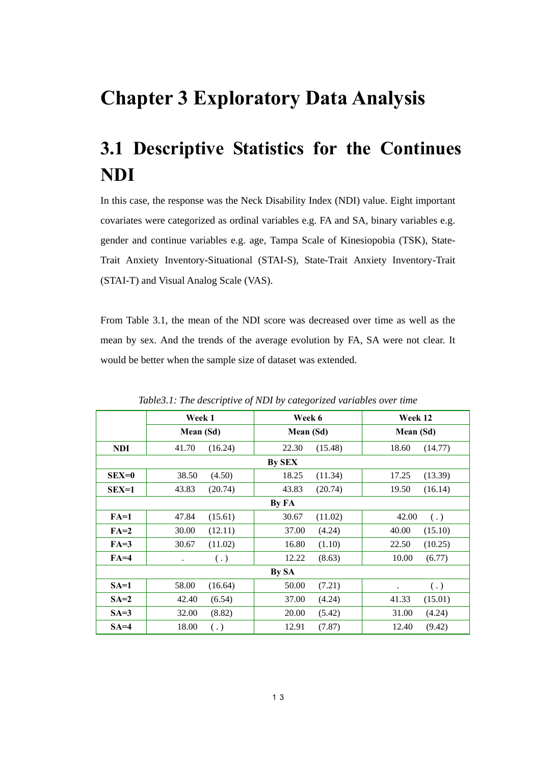## **Chapter 3 Exploratory Data Analysis**

# **3.1 Descriptive Statistics for the Continues NDI**

In this case, the response was the Neck Disability Index (NDI) value. Eight important covariates were categorized as ordinal variables e.g. FA and SA, binary variables e.g. gender and continue variables e.g. age, Tampa Scale of Kinesiopobia (TSK), State-Trait Anxiety Inventory-Situational (STAI-S), State-Trait Anxiety Inventory-Trait (STAI-T) and Visual Analog Scale (VAS).

From Table 3.1, the mean of the NDI score was decreased over time as well as the mean by sex. And the trends of the average evolution by FA, SA were not clear. It would be better when the sample size of dataset was extended.

|            | Week 1               | Week 6                       | Week 12           |  |  |  |
|------------|----------------------|------------------------------|-------------------|--|--|--|
|            | Mean (Sd)            | Mean (Sd)                    | Mean (Sd)         |  |  |  |
| <b>NDI</b> | 41.70                | (15.48)                      | 18.60             |  |  |  |
|            | (16.24)              | 22.30                        | (14.77)           |  |  |  |
|            |                      | By SEX                       |                   |  |  |  |
| $SEX=0$    | 38.50                | 18.25                        | 17.25             |  |  |  |
|            | (4.50)               | (11.34)                      | (13.39)           |  |  |  |
| $SEX=1$    | 43.83                | 43.83                        | 19.50             |  |  |  |
|            | (20.74)              | (20.74)                      | (16.14)           |  |  |  |
|            |                      | By FA                        |                   |  |  |  |
| $FA=1$     | 47.84                | 30.67                        | 42.00             |  |  |  |
|            | (15.61)              | (11.02)                      | $\left( .\right)$ |  |  |  |
| $FA=2$     | 30.00                | 37.00                        | 40.00             |  |  |  |
|            | (12.11)              | (4.24)                       | (15.10)           |  |  |  |
| $FA=3$     | 30.67                | (1.10)                       | 22.50             |  |  |  |
|            | (11.02)              | 16.80                        | (10.25)           |  |  |  |
| $FA=4$     | $\left( .\right)$    | 12.22                        | 10.00             |  |  |  |
|            | $\ddot{\phantom{0}}$ | (8.63)                       | (6.77)            |  |  |  |
|            |                      | By SA                        |                   |  |  |  |
| $SA=1$     | 58.00<br>(16.64)     | 50.00<br>(7.21)<br>$\bullet$ |                   |  |  |  |
| $SA=2$     | 42.40                | (4.24)                       | (15.01)           |  |  |  |
|            | (6.54)               | 37.00                        | 41.33             |  |  |  |
| $SA=3$     | 32.00                | 20.00                        | 31.00             |  |  |  |
|            | (8.82)               | (5.42)                       | (4.24)            |  |  |  |
| $SA=4$     | 18.00                | (7.87)                       | (9.42)            |  |  |  |
|            | $\left( .\right)$    | 12.91                        | 12.40             |  |  |  |

*Table3.1: The descriptive of NDI by categorized variables over time*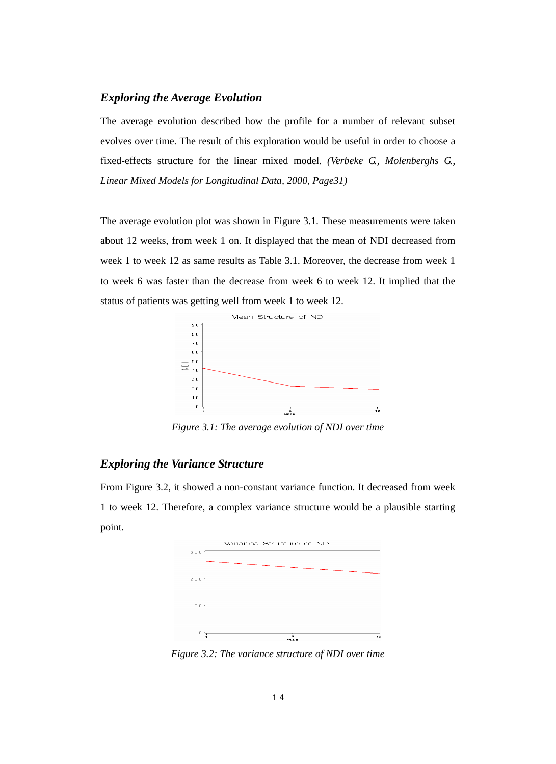#### *Exploring the Average Evolution*

The average evolution described how the profile for a number of relevant subset evolves over time. The result of this exploration would be useful in order to choose a fixed-effects structure for the linear mixed model. *(Verbeke G., Molenberghs G., Linear Mixed Models for Longitudinal Data, 2000, Page31)*

The average evolution plot was shown in Figure 3.1. These measurements were taken about 12 weeks, from week 1 on. It displayed that the mean of NDI decreased from week 1 to week 12 as same results as Table 3.1. Moreover, the decrease from week 1 to week 6 was faster than the decrease from week 6 to week 12. It implied that the status of patients was getting well from week 1 to week 12.



*Figure 3.1: The average evolution of NDI over time* 

#### *Exploring the Variance Structure*

From Figure 3.2, it showed a non-constant variance function. It decreased from week 1 to week 12. Therefore, a complex variance structure would be a plausible starting point.



*Figure 3.2: The variance structure of NDI over time*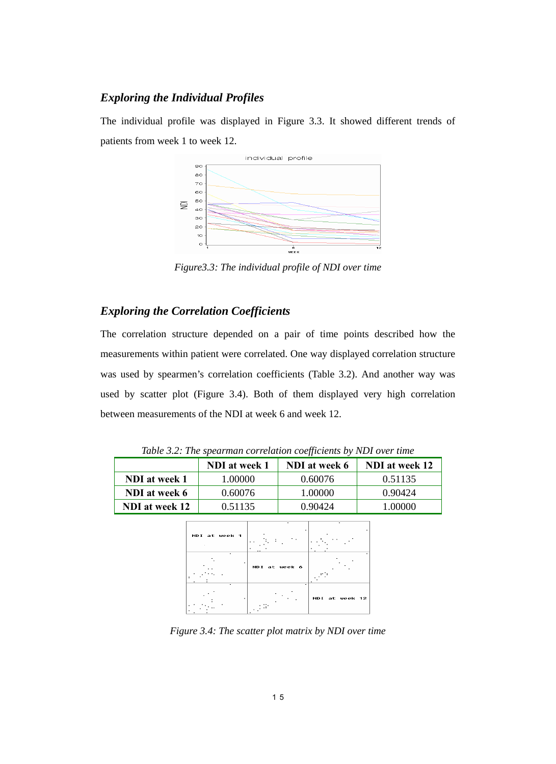#### *Exploring the Individual Profiles*

The individual profile was displayed in Figure 3.3. It showed different trends of patients from week 1 to week 12.



*Figure3.3: The individual profile of NDI over time* 

#### *Exploring the Correlation Coefficients*

The correlation structure depended on a pair of time points described how the measurements within patient were correlated. One way displayed correlation structure was used by spearmen's correlation coefficients (Table 3.2). And another way was used by scatter plot (Figure 3.4). Both of them displayed very high correlation between measurements of the NDI at week 6 and week 12.

| Table 5.2. The spearman correlation coefficients by NDI over time |               |               |                |  |  |  |  |
|-------------------------------------------------------------------|---------------|---------------|----------------|--|--|--|--|
|                                                                   | NDI at week 1 | NDI at week 6 | NDI at week 12 |  |  |  |  |
| NDI at week 1                                                     | 1.00000       | 0.60076       | 0.51135        |  |  |  |  |
| NDI at week 6                                                     | 0.60076       | 1.00000       | 0.90424        |  |  |  |  |
| NDI at week 12                                                    | 0.51135       | 0.90424       | 1.00000        |  |  |  |  |

*Table 3.2: The spearman correlation coefficients by NDI over time* 

| NDI at week 1 | $\sim$        |                |
|---------------|---------------|----------------|
|               | NDI at week 6 |                |
|               | ٠             | NDI at week 12 |

*Figure 3.4: The scatter plot matrix by NDI over time*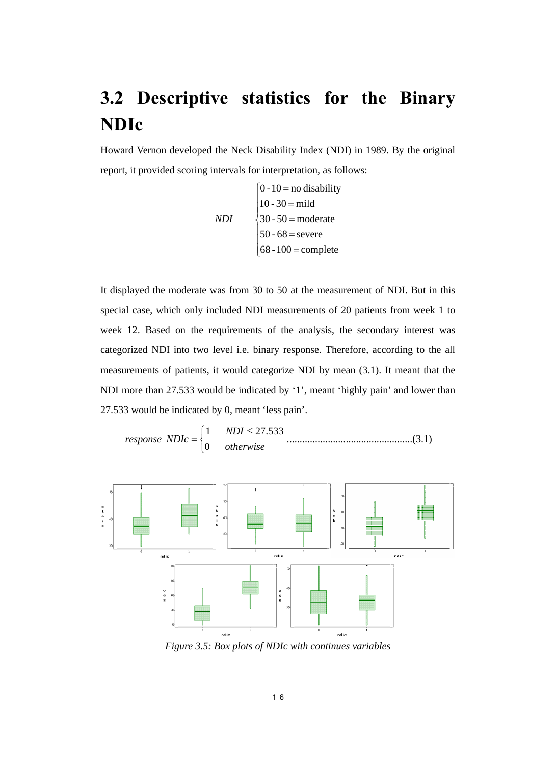# **3.2 Descriptive statistics for the Binary NDIc**

Howard Vernon developed the Neck Disability Index (NDI) in 1989. By the original report, it provided scoring intervals for interpretation, as follows:

$$
NDI
$$
\n
$$
\begin{cases}\n0 - 10 = \text{no disability} \\
10 - 30 = \text{mild} \\
30 - 50 = \text{moderate} \\
50 - 68 = \text{severe} \\
68 - 100 = \text{complete}\n\end{cases}
$$

It displayed the moderate was from 30 to 50 at the measurement of NDI. But in this special case, which only included NDI measurements of 20 patients from week 1 to week 12. Based on the requirements of the analysis, the secondary interest was categorized NDI into two level i.e. binary response. Therefore, according to the all measurements of patients, it would categorize NDI by mean (3.1). It meant that the NDI more than 27.533 would be indicated by '1', meant 'highly pain' and lower than 27.533 would be indicated by 0, meant 'less pain'.

response 
$$
NDIc = \begin{cases} 1 & NDI \le 27.533 \\ 0 & otherwise \end{cases}
$$
.................(3.1)



*Figure 3.5: Box plots of NDIc with continues variables*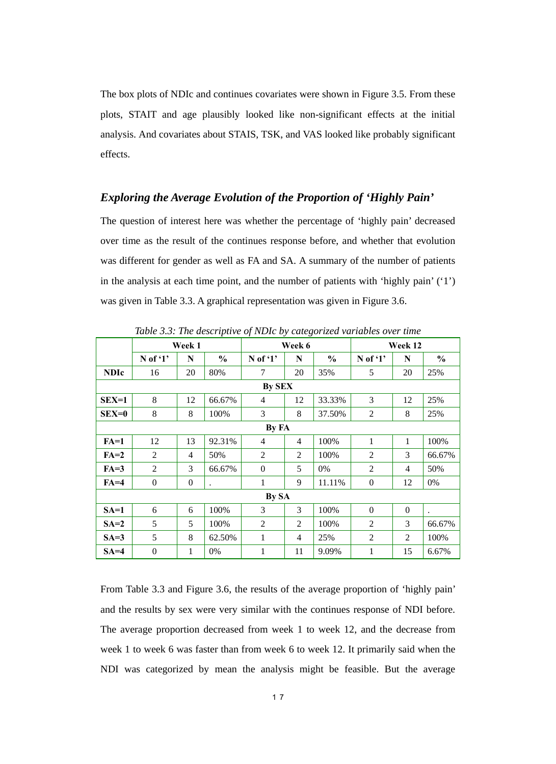The box plots of NDIc and continues covariates were shown in Figure 3.5. From these plots, STAIT and age plausibly looked like non-significant effects at the initial analysis. And covariates about STAIS, TSK, and VAS looked like probably significant effects.

#### *Exploring the Average Evolution of the Proportion of 'Highly Pain'*

The question of interest here was whether the percentage of 'highly pain' decreased over time as the result of the continues response before, and whether that evolution was different for gender as well as FA and SA. A summary of the number of patients in the analysis at each time point, and the number of patients with 'highly pain' ('1') was given in Table 3.3. A graphical representation was given in Figure 3.6.

| radio e.e. The acsorptive of 1.Dic by calegorizea randoles over lime |                  |                |                      |                |                |               |                  |                |                      |
|----------------------------------------------------------------------|------------------|----------------|----------------------|----------------|----------------|---------------|------------------|----------------|----------------------|
|                                                                      | Week 1           |                |                      | Week 6         |                |               | Week 12          |                |                      |
|                                                                      | $N$ of '1'       | N              | $\%$                 | $N$ of '1'     | N              | $\frac{6}{6}$ | $N$ of '1'       | N              | $\frac{0}{0}$        |
| <b>NDIc</b>                                                          | 16               | 20             | 80%                  | $\tau$         | 20             | 35%           | 5                | 20             | 25%                  |
|                                                                      |                  |                |                      | <b>By SEX</b>  |                |               |                  |                |                      |
| $SEX=1$                                                              | 8                | 12             | 66.67%               | $\overline{4}$ | 12             | 33.33%        | 3                | 12             | 25%                  |
| $SEX=0$                                                              | 8                | 8              | 100%                 | 3              | 8              | 37.50%        | $\mathfrak{2}$   | 8              | 25%                  |
|                                                                      |                  |                |                      | By FA          |                |               |                  |                |                      |
| $FA=1$                                                               | 12               | 13             | 92.31%               | $\overline{4}$ | $\overline{4}$ | 100%          | 1                | $\mathbf{1}$   | 100%                 |
| $FA=2$                                                               | 2                | $\overline{4}$ | 50%                  | 2              | 2              | 100%          | $\mathfrak{2}$   | 3              | 66.67%               |
| $FA=3$                                                               | $\overline{2}$   | 3              | 66.67%               | $\theta$       | 5              | 0%            | 2                | $\overline{4}$ | 50%                  |
| $FA=4$                                                               | $\boldsymbol{0}$ | $\mathbf{0}$   | $\ddot{\phantom{a}}$ | 1              | 9              | 11.11%        | $\boldsymbol{0}$ | 12             | 0%                   |
|                                                                      |                  |                |                      | By SA          |                |               |                  |                |                      |
| $SA=1$                                                               | 6                | 6              | 100%                 | 3              | 3              | 100%          | $\Omega$         | $\mathbf{0}$   | $\ddot{\phantom{0}}$ |
| $SA=2$                                                               | 5                | 5              | 100%                 | $\mathfrak{2}$ | $\overline{2}$ | 100%          | $\overline{2}$   | 3              | 66.67%               |
| $SA=3$                                                               | 5                | 8              | 62.50%               | 1              | $\overline{4}$ | 25%           | 2                | 2              | 100%                 |
| $SA=4$                                                               | $\overline{0}$   | $\mathbf{1}$   | 0%                   | 1              | 11             | 9.09%         | $\mathbf{1}$     | 15             | 6.67%                |

*Table 3.3: The descriptive of NDIc by categorized variables over time* 

From Table 3.3 and Figure 3.6, the results of the average proportion of 'highly pain' and the results by sex were very similar with the continues response of NDI before. The average proportion decreased from week 1 to week 12, and the decrease from week 1 to week 6 was faster than from week 6 to week 12. It primarily said when the NDI was categorized by mean the analysis might be feasible. But the average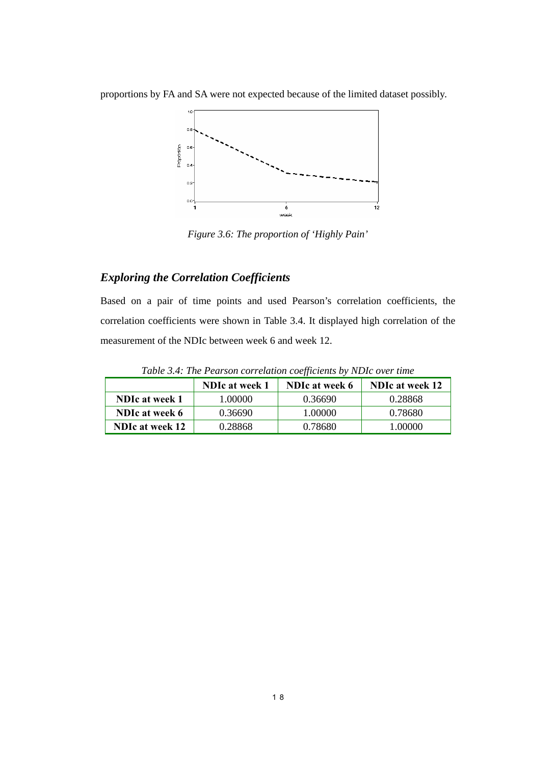proportions by FA and SA were not expected because of the limited dataset possibly.



*Figure 3.6: The proportion of 'Highly Pain'* 

#### *Exploring the Correlation Coefficients*

Based on a pair of time points and used Pearson's correlation coefficients, the correlation coefficients were shown in Table 3.4. It displayed high correlation of the measurement of the NDIc between week 6 and week 12.

|                           | <b>NDIc at week 1</b> | NDIc at week 6 | <b>NDIc at week 12</b> |
|---------------------------|-----------------------|----------------|------------------------|
| NDIc at week 1<br>1.00000 |                       | 0.36690        | 0.28868                |
| NDIc at week 6            | 0.36690               | 1.00000        | 0.78680                |
| <b>NDIc at week 12</b>    | 0.28868               | 0.78680        | L 00000                |

*Table 3.4: The Pearson correlation coefficients by NDIc over time*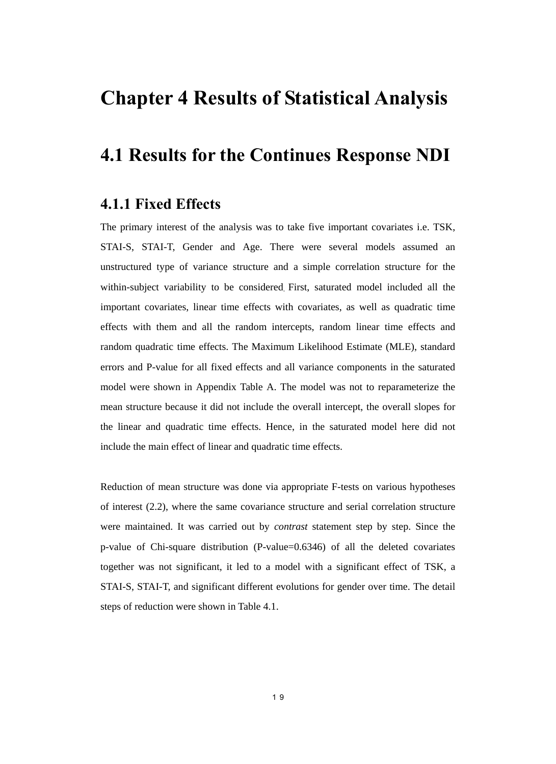## **Chapter 4 Results of Statistical Analysis**

### **4.1 Results for the Continues Response NDI**

### **4.1.1 Fixed Effects**

The primary interest of the analysis was to take five important covariates i.e. TSK, STAI-S, STAI-T, Gender and Age. There were several models assumed an unstructured type of variance structure and a simple correlation structure for the within-subject variability to be considered. First, saturated model included all the important covariates, linear time effects with covariates, as well as quadratic time effects with them and all the random intercepts, random linear time effects and random quadratic time effects. The Maximum Likelihood Estimate (MLE), standard errors and P-value for all fixed effects and all variance components in the saturated model were shown in Appendix Table A. The model was not to reparameterize the mean structure because it did not include the overall intercept, the overall slopes for the linear and quadratic time effects. Hence, in the saturated model here did not include the main effect of linear and quadratic time effects.

Reduction of mean structure was done via appropriate F-tests on various hypotheses of interest (2.2), where the same covariance structure and serial correlation structure were maintained. It was carried out by *contrast* statement step by step. Since the p-value of Chi-square distribution (P-value=0.6346) of all the deleted covariates together was not significant, it led to a model with a significant effect of TSK, a STAI-S, STAI-T, and significant different evolutions for gender over time. The detail steps of reduction were shown in Table 4.1.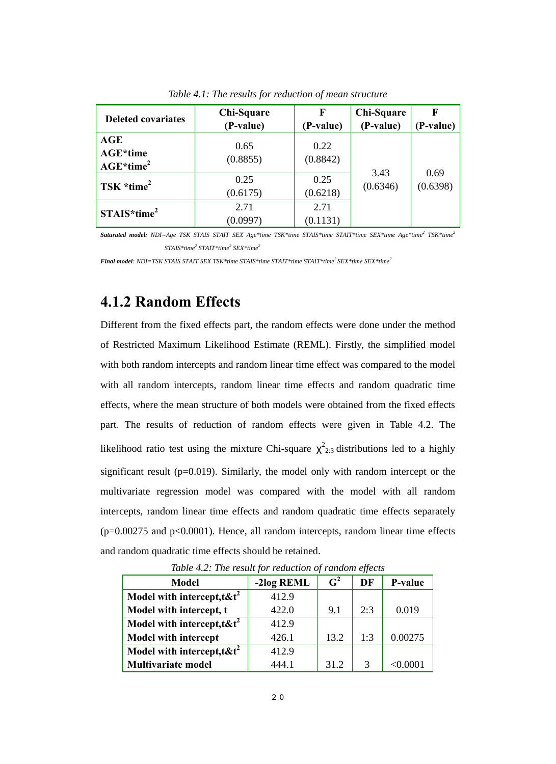| <b>Deleted covariates</b>                         | Chi-Square<br>(P-value) | F<br>(P-value)   | Chi-Square<br>(P-value) | F<br>(P-value)   |
|---------------------------------------------------|-------------------------|------------------|-------------------------|------------------|
| $\mathbf{AGE}$<br><b>AGE*time</b><br>$AGE*time^2$ | 0.65<br>(0.8855)        | 0.22<br>(0.8842) | 3.43                    |                  |
| TSK $*time^2$                                     | 0.25<br>(0.6175)        | 0.25<br>(0.6218) | (0.6346)                | 0.69<br>(0.6398) |
| $STAIS*time2$                                     | 2.71<br>(0.0997)        | 2.71<br>(0.1131) |                         |                  |

*Table 4.1: The results for reduction of mean structure* 

*Saturated model: NDI=Age TSK STAIS STAIT SEX Age\*time TSK\*time STAIS\*time STAIT\*time SEX\*time Age\*time2 TSK\*time2 STAIS\*time2 STAIT\*time2 SEX\*time2*

*Final model: NDI=TSK STAIS STAIT SEX TSK\*time STAIS\*time STAIT\*time STAIT\*time<sup>2</sup> SEX\*time SEX\*time<sup>2</sup>* 

### **4.1.2 Random Effects**

Different from the fixed effects part, the random effects were done under the method of Restricted Maximum Likelihood Estimate (REML). Firstly, the simplified model with both random intercepts and random linear time effect was compared to the model with all random intercepts, random linear time effects and random quadratic time effects, where the mean structure of both models were obtained from the fixed effects part. The results of reduction of random effects were given in Table 4.2. The likelihood ratio test using the mixture Chi-square  $\chi^2_{2:3}$  distributions led to a highly significant result ( $p=0.019$ ). Similarly, the model only with random intercept or the multivariate regression model was compared with the model with all random intercepts, random linear time effects and random quadratic time effects separately  $(p=0.00275$  and  $p<0.0001$ ). Hence, all random intercepts, random linear time effects and random quadratic time effects should be retained.

| Table 7.2. The result for reduction of rundom effects<br><b>Model</b> | -2log REML | $\mathbf{G}^2$ | DF  | P-value  |
|-----------------------------------------------------------------------|------------|----------------|-----|----------|
|                                                                       |            |                |     |          |
| Model with intercept, $t$ & $t^2$                                     | 412.9      |                |     |          |
| Model with intercept, t                                               | 422.0      | 9.1            | 2:3 | 0.019    |
| Model with intercept, $t$ & $t^2$                                     | 412.9      |                |     |          |
| <b>Model with intercept</b>                                           | 426.1      | 13.2           | 1:3 | 0.00275  |
| Model with intercept, $t$ & $t^2$                                     | 412.9      |                |     |          |
| <b>Multivariate model</b>                                             | 444 1      | 31.2           | 3   | < 0.0001 |

*Table 4.2: The result for reduction of random effects*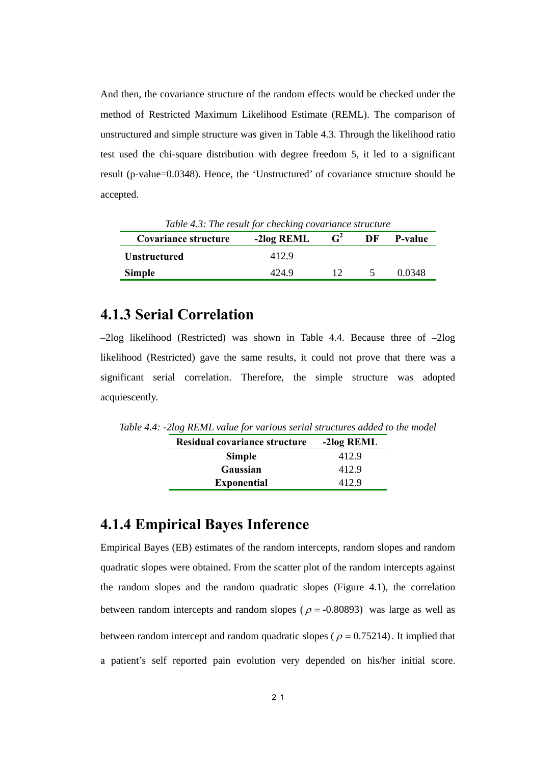And then, the covariance structure of the random effects would be checked under the method of Restricted Maximum Likelihood Estimate (REML). The comparison of unstructured and simple structure was given in Table 4.3. Through the likelihood ratio test used the chi-square distribution with degree freedom 5, it led to a significant result (p-value=0.0348). Hence, the 'Unstructured' of covariance structure should be accepted.

| Table 4.5: The result for checking covariance structure |            |                |                      |         |  |  |
|---------------------------------------------------------|------------|----------------|----------------------|---------|--|--|
| Covariance structure                                    | -2log REML | $\mathbf{G}^2$ | DF                   | P-value |  |  |
| <b>Unstructured</b>                                     | 412.9      |                |                      |         |  |  |
| <b>Simple</b>                                           | 424.9      | $12^{\circ}$   | $\ddot{\phantom{1}}$ | 0.0348  |  |  |

*Table 4.3: The result for checking 20* 

### **4.1.3 Serial Correlation**

 $-2\log$  likelihood (Restricted) was shown in Table 4.4. Because three of  $-2\log$ likelihood (Restricted) gave the same results, it could not prove that there was a significant serial correlation. Therefore, the simple structure was adopted acquiescently.

*Table 4.4: -2log REML value for various serial structures added to the model* 

| Residual covariance structure | -2log REML |
|-------------------------------|------------|
| <b>Simple</b>                 | 412.9      |
| Gaussian                      | 412.9      |
| <b>Exponential</b>            | 412.9      |

### **4.1.4 Empirical Bayes Inference**

Empirical Bayes (EB) estimates of the random intercepts, random slopes and random quadratic slopes were obtained. From the scatter plot of the random intercepts against the random slopes and the random quadratic slopes (Figure 4.1), the correlation between random intercepts and random slopes ( $\rho = -0.80893$ ) was large as well as between random intercept and random quadratic slopes ( $\rho = 0.75214$ ). It implied that a patient's self reported pain evolution very depended on his/her initial score.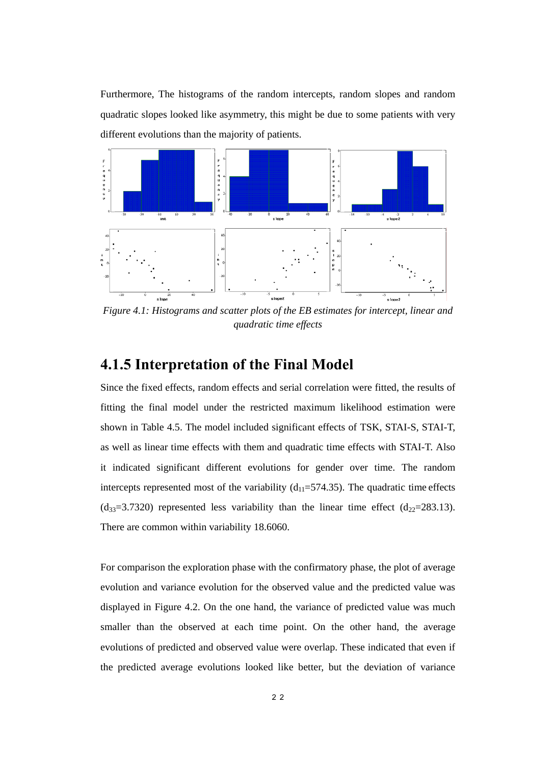Furthermore, The histograms of the random intercepts, random slopes and random quadratic slopes looked like asymmetry, this might be due to some patients with very different evolutions than the majority of patients.



*Figure 4.1: Histograms and scatter plots of the EB estimates for intercept, linear and quadratic time effects* 

### **4.1.5 Interpretation of the Final Model**

Since the fixed effects, random effects and serial correlation were fitted, the results of fitting the final model under the restricted maximum likelihood estimation were shown in Table 4.5. The model included significant effects of TSK, STAI-S, STAI-T, as well as linear time effects with them and quadratic time effects with STAI-T. Also it indicated significant different evolutions for gender over time. The random intercepts represented most of the variability  $(d_{11}=574.35)$ . The quadratic time effects  $(d_{33}=3.7320)$  represented less variability than the linear time effect  $(d_{22}=283.13)$ . There are common within variability 18.6060.

For comparison the exploration phase with the confirmatory phase, the plot of average evolution and variance evolution for the observed value and the predicted value was displayed in Figure 4.2. On the one hand, the variance of predicted value was much smaller than the observed at each time point. On the other hand, the average evolutions of predicted and observed value were overlap. These indicated that even if the predicted average evolutions looked like better, but the deviation of variance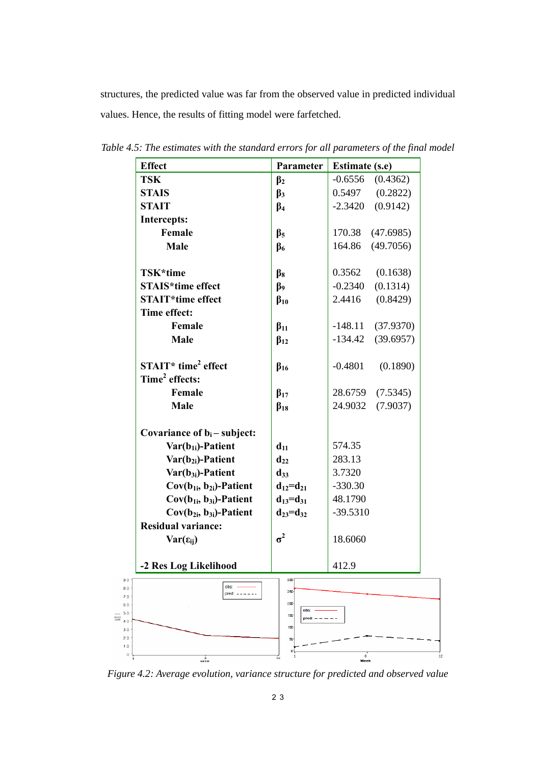structures, the predicted value was far from the observed value in predicted individual values. Hence, the results of fitting model were farfetched.

| <b>Effect</b>                    | Parameter            | <b>Estimate (s.e)</b>  |  |  |
|----------------------------------|----------------------|------------------------|--|--|
| <b>TSK</b>                       | $\beta_2$            | $-0.6556$<br>(0.4362)  |  |  |
| <b>STAIS</b>                     | $\beta_3$            | (0.2822)<br>0.5497     |  |  |
| <b>STAIT</b>                     | $\beta_4$            | (0.9142)<br>$-2.3420$  |  |  |
| <b>Intercepts:</b>               |                      |                        |  |  |
| Female                           | $\beta$ <sub>5</sub> | 170.38<br>(47.6985)    |  |  |
| Male                             | $\beta_6$            | 164.86<br>(49.7056)    |  |  |
|                                  |                      |                        |  |  |
| TSK*time                         | $\beta_8$            | 0.3562<br>(0.1638)     |  |  |
| <b>STAIS*time effect</b>         | $\beta$              | $-0.2340$<br>(0.1314)  |  |  |
| <b>STAIT*time effect</b>         | $\beta_{10}$         | 2.4416<br>(0.8429)     |  |  |
| Time effect:                     |                      |                        |  |  |
| Female                           | $\beta_{11}$         | $-148.11$ (37.9370)    |  |  |
| Male                             | $\beta_{12}$         | (39.6957)<br>$-134.42$ |  |  |
|                                  |                      |                        |  |  |
| $STAT*$ time <sup>2</sup> effect | $\beta_{16}$         | $-0.4801$<br>(0.1890)  |  |  |
| Time <sup>2</sup> effects:       |                      |                        |  |  |
| Female                           | $\beta_{17}$         | 28.6759<br>(7.5345)    |  |  |
| Male                             | $\beta_{18}$         | 24.9032<br>(7.9037)    |  |  |
| Covariance of $b_i$ – subject:   |                      |                        |  |  |
| $Var(b_{1i})$ -Patient           | $d_{11}$             | 574.35                 |  |  |
| $Var(b_{2i})$ -Patient           | $d_{22}$             | 283.13                 |  |  |
| $Var(b_{3i})$ -Patient           | $d_{33}$             | 3.7320                 |  |  |
| $Cov(b_{1i}, b_{2i})$ -Patient   | $d_{12}=d_{21}$      | $-330.30$              |  |  |
| $Cov(b_{1i}, b_{3i})$ -Patient   | $d_{13}=d_{31}$      | 48.1790                |  |  |
| $Cov(b_{2i}, b_{3i})$ -Patient   | $d_{23} = d_{32}$    | $-39.5310$             |  |  |
| <b>Residual variance:</b>        |                      |                        |  |  |
| $Var(\epsilon_{ii})$             | $\sigma^2$           | 18.6060                |  |  |
|                                  |                      |                        |  |  |
| -2 Res Log Likelihood            |                      | 412.9                  |  |  |
| obs:                             | 300                  |                        |  |  |
|                                  | 250<br>200           |                        |  |  |
|                                  | obs:<br>150          |                        |  |  |
|                                  | $pred: - - -$<br>100 |                        |  |  |
|                                  |                      |                        |  |  |

*Table 4.5: The estimates with the standard errors for all parameters of the final model* 



 $\frac{6}{\text{WEEK}}$ 

 $rac{6}{\text{Week}}$ 

 $\equiv$ 

 $10$  $\overline{0}$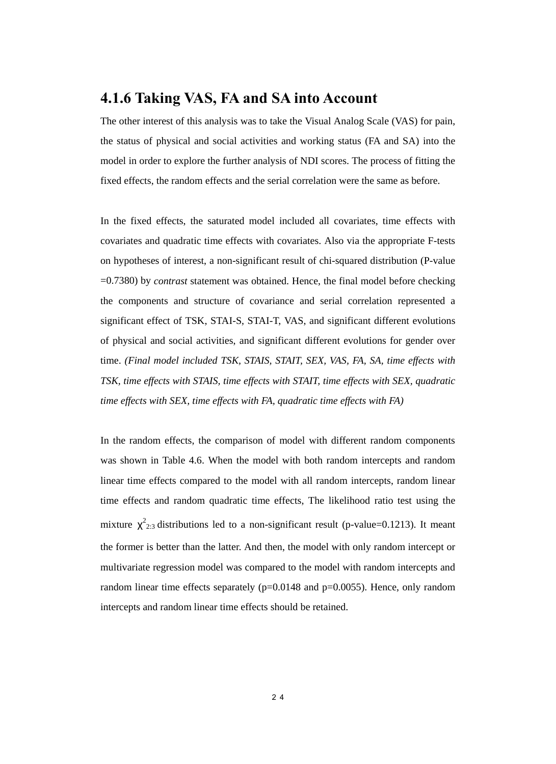### **4.1.6 Taking VAS, FA and SA into Account**

The other interest of this analysis was to take the Visual Analog Scale (VAS) for pain, the status of physical and social activities and working status (FA and SA) into the model in order to explore the further analysis of NDI scores. The process of fitting the fixed effects, the random effects and the serial correlation were the same as before.

In the fixed effects, the saturated model included all covariates, time effects with covariates and quadratic time effects with covariates. Also via the appropriate F-tests on hypotheses of interest, a non-significant result of chi-squared distribution (P-value =0.7380) by *contrast* statement was obtained. Hence, the final model before checking the components and structure of covariance and serial correlation represented a significant effect of TSK, STAI-S, STAI-T, VAS, and significant different evolutions of physical and social activities, and significant different evolutions for gender over time. *(Final model included TSK, STAIS, STAIT, SEX, VAS, FA, SA, time effects with TSK, time effects with STAIS, time effects with STAIT, time effects with SEX, quadratic time effects with SEX, time effects with FA, quadratic time effects with FA)* 

In the random effects, the comparison of model with different random components was shown in Table 4.6. When the model with both random intercepts and random linear time effects compared to the model with all random intercepts, random linear time effects and random quadratic time effects, The likelihood ratio test using the mixture  $\chi^2_{2:3}$  distributions led to a non-significant result (p-value=0.1213). It meant the former is better than the latter. And then, the model with only random intercept or multivariate regression model was compared to the model with random intercepts and random linear time effects separately  $(p=0.0148$  and  $p=0.0055$ ). Hence, only random intercepts and random linear time effects should be retained.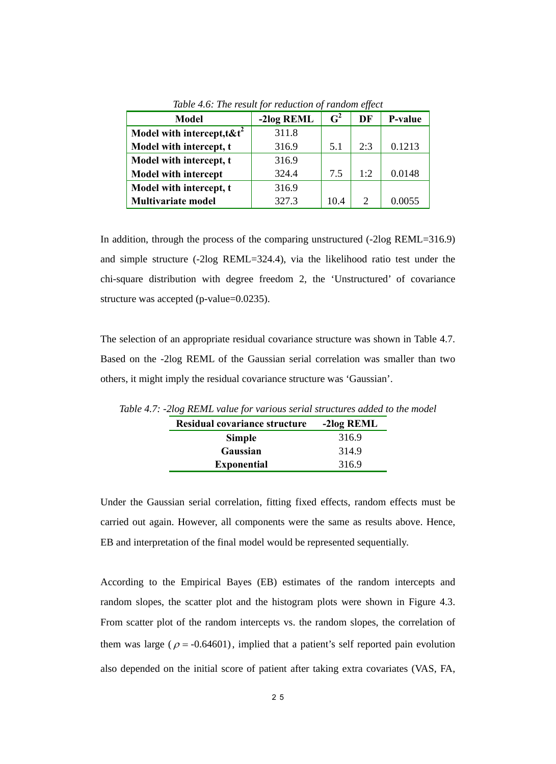| <b>Model</b>                      | -2log REML | $\mathbf{G}^2$ | DF  | P-value |
|-----------------------------------|------------|----------------|-----|---------|
| Model with intercept, $t$ & $t^2$ | 311.8      |                |     |         |
| Model with intercept, t           | 316.9      | 5.1            | 2:3 | 0.1213  |
| Model with intercept, t           | 316.9      |                |     |         |
| <b>Model with intercept</b>       | 324.4      | 7.5            | 1·2 | 0.0148  |
| Model with intercept, t           | 316.9      |                |     |         |
| <b>Multivariate model</b>         | 327.3      | 10.4           |     | 0.0055  |

*Table 4.6: The result for reduction of random effect*

In addition, through the process of the comparing unstructured (-2log REML=316.9) and simple structure (-2log REML=324.4), via the likelihood ratio test under the chi-square distribution with degree freedom 2, the 'Unstructured' of covariance structure was accepted (p-value=0.0235).

The selection of an appropriate residual covariance structure was shown in Table 4.7. Based on the -2log REML of the Gaussian serial correlation was smaller than two others, it might imply the residual covariance structure was 'Gaussian'.

| Residual covariance structure | -2log REML |
|-------------------------------|------------|
| <b>Simple</b>                 | 316.9      |
| Gaussian                      | 314.9      |
| <b>Exponential</b>            | 316.9      |

*Table 4.7: -2log REML value for various serial structures added to the model*

Under the Gaussian serial correlation, fitting fixed effects, random effects must be carried out again. However, all components were the same as results above. Hence, EB and interpretation of the final model would be represented sequentially.

According to the Empirical Bayes (EB) estimates of the random intercepts and random slopes, the scatter plot and the histogram plots were shown in Figure 4.3. From scatter plot of the random intercepts vs. the random slopes, the correlation of them was large ( $\rho = -0.64601$ ), implied that a patient's self reported pain evolution also depended on the initial score of patient after taking extra covariates (VAS, FA,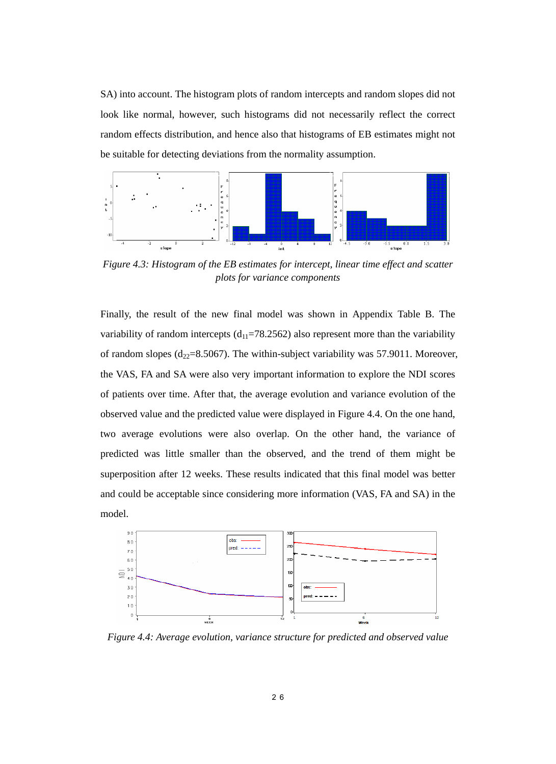SA) into account. The histogram plots of random intercepts and random slopes did not look like normal, however, such histograms did not necessarily reflect the correct random effects distribution, and hence also that histograms of EB estimates might not be suitable for detecting deviations from the normality assumption.



*Figure 4.3: Histogram of the EB estimates for intercept, linear time effect and scatter plots for variance components* 

Finally, the result of the new final model was shown in Appendix Table B. The variability of random intercepts  $(d_{11}=78.2562)$  also represent more than the variability of random slopes ( $d_{22}=8.5067$ ). The within-subject variability was 57.9011. Moreover, the VAS, FA and SA were also very important information to explore the NDI scores of patients over time. After that, the average evolution and variance evolution of the observed value and the predicted value were displayed in Figure 4.4. On the one hand, two average evolutions were also overlap. On the other hand, the variance of predicted was little smaller than the observed, and the trend of them might be superposition after 12 weeks. These results indicated that this final model was better and could be acceptable since considering more information (VAS, FA and SA) in the model.



*Figure 4.4: Average evolution, variance structure for predicted and observed value*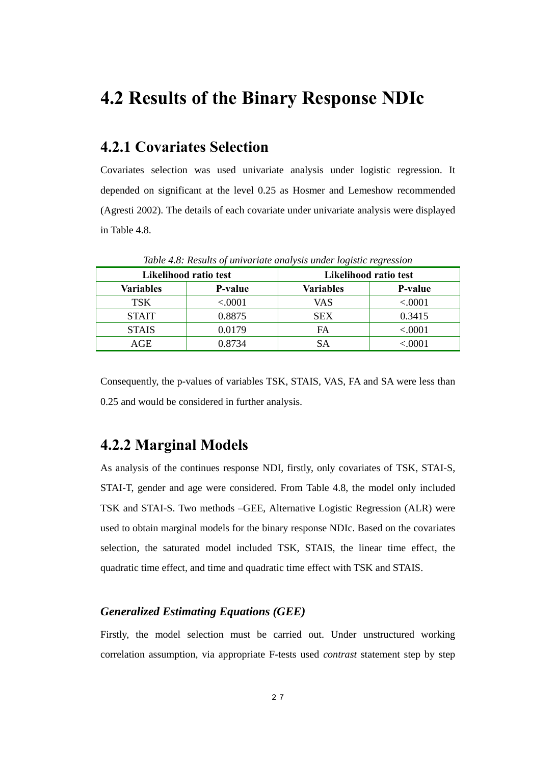## **4.2 Results of the Binary Response NDIc**

### **4.2.1 Covariates Selection**

Covariates selection was used univariate analysis under logistic regression. It depended on significant at the level 0.25 as Hosmer and Lemeshow recommended (Agresti 2002). The details of each covariate under univariate analysis were displayed in Table 4.8.

| Table 1.0. Results of university and yous under toxistic regression |                |            |                       |  |
|---------------------------------------------------------------------|----------------|------------|-----------------------|--|
| Likelihood ratio test                                               |                |            | Likelihood ratio test |  |
| Variables                                                           | <b>P-value</b> | Variables  | P-value               |  |
| <b>TSK</b>                                                          | < .0001        | VAS        | < .0001               |  |
| <b>STAIT</b>                                                        | 0.8875         | <b>SEX</b> | 0.3415                |  |
| <b>STAIS</b>                                                        | 0.0179         | FA         | < .0001               |  |
| AGE                                                                 | 0.8734         | SА         | ${.0001}$             |  |

*Table 4.8: Results of univariate analysis under logistic regression* 

Consequently, the p-values of variables TSK, STAIS, VAS, FA and SA were less than 0.25 and would be considered in further analysis.

### **4.2.2 Marginal Models**

As analysis of the continues response NDI, firstly, only covariates of TSK, STAI-S, STAI-T, gender and age were considered. From Table 4.8, the model only included TSK and STAI-S. Two methods –GEE, Alternative Logistic Regression (ALR) were used to obtain marginal models for the binary response NDIc. Based on the covariates selection, the saturated model included TSK, STAIS, the linear time effect, the quadratic time effect, and time and quadratic time effect with TSK and STAIS.

#### *Generalized Estimating Equations (GEE)*

Firstly, the model selection must be carried out. Under unstructured working correlation assumption, via appropriate F-tests used *contrast* statement step by step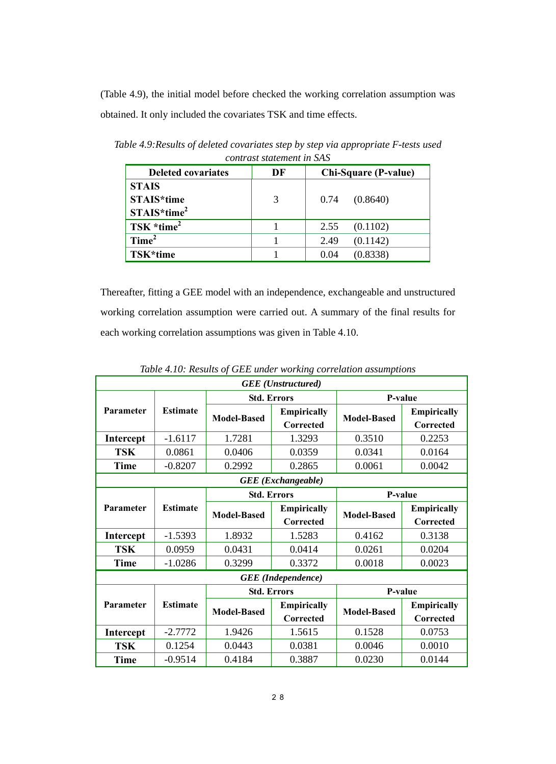(Table 4.9), the initial model before checked the working correlation assumption was obtained. It only included the covariates TSK and time effects.

| connaise signalisme in sign |    |                             |  |  |  |
|-----------------------------|----|-----------------------------|--|--|--|
| <b>Deleted covariates</b>   | DF | <b>Chi-Square (P-value)</b> |  |  |  |
| <b>STAIS</b><br>STAIS*time  | 3  | (0.8640)<br>0.74            |  |  |  |
| $STAIS*time2$               |    |                             |  |  |  |
| TSK $*time^2$               |    | (0.1102)<br>2.55            |  |  |  |
| Time <sup>2</sup>           |    | (0.1142)<br>2.49            |  |  |  |
| TSK*time                    |    | (0.8338)<br>0.04            |  |  |  |

*Table 4.9:Results of deleted covariates step by step via appropriate F-tests used contrast statement in SAS* 

Thereafter, fitting a GEE model with an independence, exchangeable and unstructured working correlation assumption were carried out. A summary of the final results for each working correlation assumptions was given in Table 4.10.

| <b>GEE</b> (Unstructured) |                 |                    |                                 |                    |                                        |
|---------------------------|-----------------|--------------------|---------------------------------|--------------------|----------------------------------------|
|                           |                 | <b>Std. Errors</b> |                                 | <b>P-value</b>     |                                        |
| <b>Parameter</b>          | <b>Estimate</b> | <b>Model-Based</b> | <b>Empirically</b><br>Corrected | <b>Model-Based</b> | <b>Empirically</b><br><b>Corrected</b> |
| Intercept                 | $-1.6117$       | 1.7281             | 1.3293                          | 0.3510             | 0.2253                                 |
| <b>TSK</b>                | 0.0861          | 0.0406             | 0.0359                          | 0.0341             | 0.0164                                 |
| <b>Time</b>               | $-0.8207$       | 0.2992             | 0.2865                          | 0.0061             | 0.0042                                 |
|                           |                 |                    | <b>GEE</b> (Exchangeable)       |                    |                                        |
|                           |                 | <b>Std. Errors</b> |                                 | <b>P-value</b>     |                                        |
| <b>Parameter</b>          | <b>Estimate</b> | <b>Model-Based</b> | <b>Empirically</b>              | <b>Model-Based</b> | <b>Empirically</b>                     |
|                           |                 |                    | Corrected                       |                    | Corrected                              |
| Intercept                 | $-1.5393$       | 1.8932             | 1.5283                          | 0.4162             | 0.3138                                 |
| <b>TSK</b>                | 0.0959          | 0.0431             | 0.0414                          | 0.0261             | 0.0204                                 |
| <b>Time</b>               | $-1.0286$       | 0.3299             | 0.3372                          | 0.0018             | 0.0023                                 |
|                           |                 |                    | <b>GEE</b> (Independence)       |                    |                                        |
|                           |                 | <b>Std. Errors</b> |                                 | <b>P-value</b>     |                                        |
| Parameter                 | <b>Estimate</b> | <b>Model-Based</b> | <b>Empirically</b>              | <b>Model-Based</b> | <b>Empirically</b>                     |
|                           |                 | Corrected          |                                 |                    | Corrected                              |
| Intercept                 | $-2.7772$       | 1.9426             | 1.5615                          | 0.1528             | 0.0753                                 |
| <b>TSK</b>                | 0.1254          | 0.0443             | 0.0381                          | 0.0046             | 0.0010                                 |
| <b>Time</b>               | $-0.9514$       | 0.4184             | 0.3887                          | 0.0230             | 0.0144                                 |

*Table 4.10: Results of GEE under working correlation assumptions*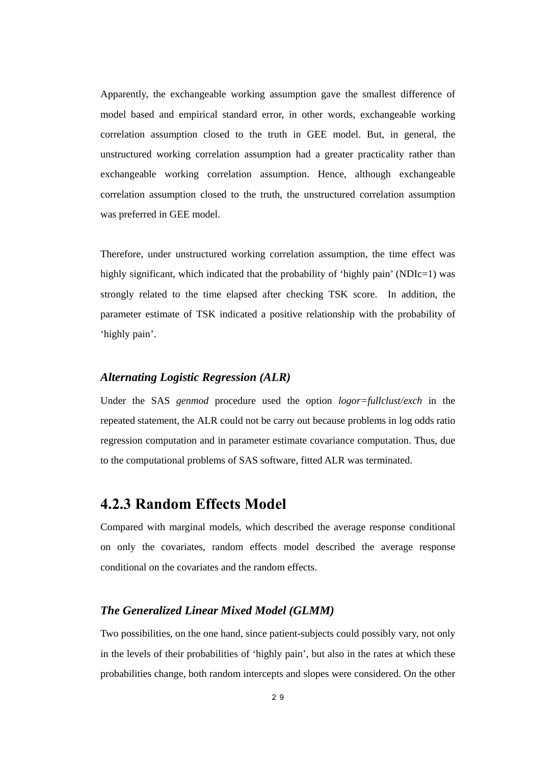Apparently, the exchangeable working assumption gave the smallest difference of model based and empirical standard error, in other words, exchangeable working correlation assumption closed to the truth in GEE model. But, in general, the unstructured working correlation assumption had a greater practicality rather than exchangeable working correlation assumption. Hence, although exchangeable correlation assumption closed to the truth, the unstructured correlation assumption was preferred in GEE model.

Therefore, under unstructured working correlation assumption, the time effect was highly significant, which indicated that the probability of 'highly pain' (NDIc=1) was strongly related to the time elapsed after checking TSK score. In addition, the parameter estimate of TSK indicated a positive relationship with the probability of 'highly pain'.

#### *Alternating Logistic Regression (ALR)*

Under the SAS *genmod* procedure used the option *logor=fullclust/exch* in the repeated statement, the ALR could not be carry out because problems in log odds ratio regression computation and in parameter estimate covariance computation. Thus, due to the computational problems of SAS software, fitted ALR was terminated.

### **4.2.3 Random Effects Model**

Compared with marginal models, which described the average response conditional on only the covariates, random effects model described the average response conditional on the covariates and the random effects.

#### *The Generalized Linear Mixed Model (GLMM)*

Two possibilities, on the one hand, since patient-subjects could possibly vary, not only in the levels of their probabilities of 'highly pain', but also in the rates at which these probabilities change, both random intercepts and slopes were considered. On the other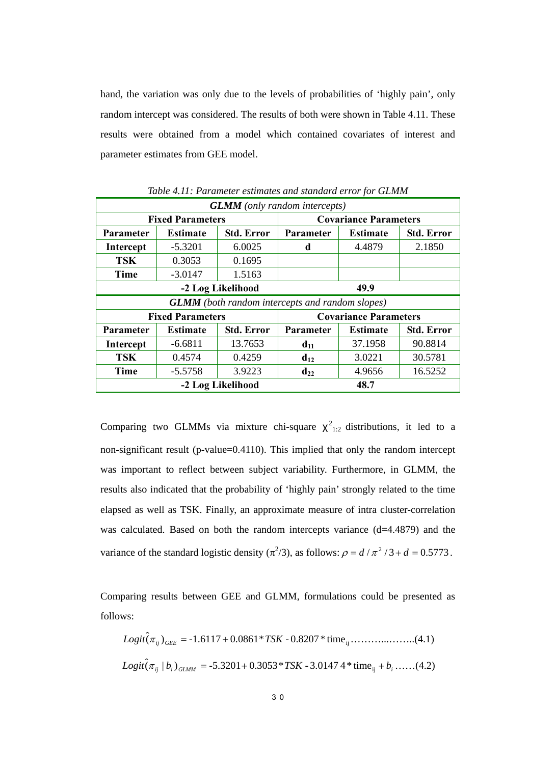hand, the variation was only due to the levels of probabilities of 'highly pain', only random intercept was considered. The results of both were shown in Table 4.11. These results were obtained from a model which contained covariates of interest and parameter estimates from GEE model.

| <b>GLMM</b> (only random intercepts)                   |                         |                   |                                                   |                              |                   |  |
|--------------------------------------------------------|-------------------------|-------------------|---------------------------------------------------|------------------------------|-------------------|--|
|                                                        | <b>Fixed Parameters</b> |                   |                                                   | <b>Covariance Parameters</b> |                   |  |
| <b>Parameter</b>                                       | <b>Estimate</b>         | <b>Std. Error</b> | <b>Std. Error</b><br>Parameter<br><b>Estimate</b> |                              |                   |  |
| Intercept                                              | $-5.3201$               | 6.0025            | d                                                 | 4.4879                       | 2.1850            |  |
| <b>TSK</b>                                             | 0.3053                  | 0.1695            |                                                   |                              |                   |  |
| <b>Time</b>                                            | $-3.0147$               | 1.5163            |                                                   |                              |                   |  |
| 49.9<br>-2 Log Likelihood                              |                         |                   |                                                   |                              |                   |  |
| <b>GLMM</b> (both random intercepts and random slopes) |                         |                   |                                                   |                              |                   |  |
|                                                        |                         |                   |                                                   |                              |                   |  |
|                                                        | <b>Fixed Parameters</b> |                   |                                                   | <b>Covariance Parameters</b> |                   |  |
| <b>Parameter</b>                                       | <b>Estimate</b>         | <b>Std. Error</b> | Parameter                                         | <b>Estimate</b>              | <b>Std. Error</b> |  |
| <b>Intercept</b>                                       | $-6.6811$               | 13.7653           | $d_{11}$                                          | 37.1958                      | 90.8814           |  |
| <b>TSK</b>                                             | 0.4574                  | 0.4259            | $d_{12}$                                          | 3.0221                       | 30.5781           |  |
| <b>Time</b>                                            | $-5.5758$               | 3.9223            | $\mathbf{d}_{22}$                                 | 4.9656                       | 16.5252           |  |

*Table 4.11: Parameter estimates and standard error for GLMM* 

Comparing two GLMMs via mixture chi-square  $\chi^2_{1:2}$  distributions, it led to a non-significant result (p-value=0.4110). This implied that only the random intercept was important to reflect between subject variability. Furthermore, in GLMM, the results also indicated that the probability of 'highly pain' strongly related to the time elapsed as well as TSK. Finally, an approximate measure of intra cluster-correlation was calculated. Based on both the random intercepts variance (d=4.4879) and the variance of the standard logistic density  $(\pi^2/3)$ , as follows:  $\rho = d/\pi^2/3 + d = 0.5773$ .

Comparing results between GEE and GLMM, formulations could be presented as follows:

ij ( ) -1.6117 0.0861\* - 0.8207 \* time <sup>ˆ</sup> *Logit* <sup>π</sup> *ij GEE* <sup>=</sup> <sup>+</sup> *TSK* ………...……..(4.1) *Logit ij bi GLMM* <sup>=</sup> <sup>+</sup> *TSK* ij <sup>+</sup> *bi* ( <sup>|</sup> ) -5.3201 0.3053\* - 3.0147 4\* time <sup>ˆ</sup><sup>π</sup> ……(4.2)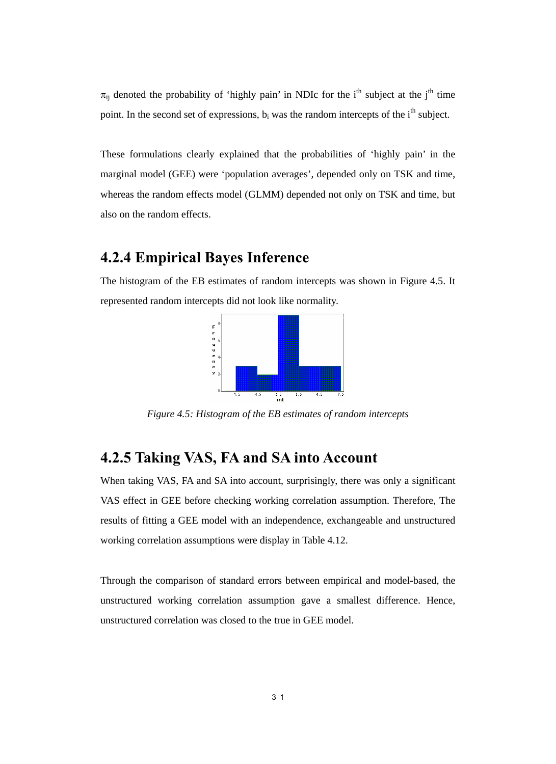$\pi_{ii}$  denoted the probability of 'highly pain' in NDIc for the i<sup>th</sup> subject at the j<sup>th</sup> time point. In the second set of expressions,  $b_i$  was the random intercepts of the i<sup>th</sup> subject.

These formulations clearly explained that the probabilities of 'highly pain' in the marginal model (GEE) were 'population averages', depended only on TSK and time, whereas the random effects model (GLMM) depended not only on TSK and time, but also on the random effects.

### **4.2.4 Empirical Bayes Inference**

The histogram of the EB estimates of random intercepts was shown in Figure 4.5. It represented random intercepts did not look like normality.



*Figure 4.5: Histogram of the EB estimates of random intercepts* 

### **4.2.5 Taking VAS, FA and SA into Account**

When taking VAS, FA and SA into account, surprisingly, there was only a significant VAS effect in GEE before checking working correlation assumption. Therefore, The results of fitting a GEE model with an independence, exchangeable and unstructured working correlation assumptions were display in Table 4.12.

Through the comparison of standard errors between empirical and model-based, the unstructured working correlation assumption gave a smallest difference. Hence, unstructured correlation was closed to the true in GEE model.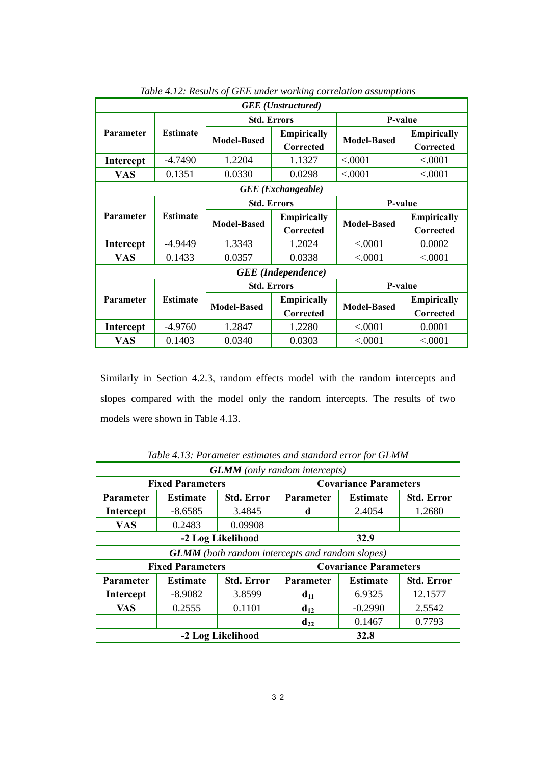| <b>GEE</b> ( <i>Unstructured</i> ) |                 |                    |                                 |                    |                                 |  |
|------------------------------------|-----------------|--------------------|---------------------------------|--------------------|---------------------------------|--|
|                                    |                 |                    | <b>Std. Errors</b>              |                    | P-value                         |  |
| <b>Parameter</b>                   | <b>Estimate</b> | <b>Model-Based</b> | <b>Empirically</b><br>Corrected | <b>Model-Based</b> | <b>Empirically</b><br>Corrected |  |
| <b>Intercept</b>                   | $-4.7490$       | 1.2204             | 1.1327                          | < .0001            | < .0001                         |  |
| <b>VAS</b>                         | 0.1351          | 0.0330             | 0.0298                          | < .0001            | < .0001                         |  |
|                                    |                 |                    | <b>GEE</b> (Exchangeable)       |                    |                                 |  |
|                                    |                 |                    | <b>Std. Errors</b>              | P-value            |                                 |  |
| <b>Parameter</b>                   | <b>Estimate</b> | <b>Model-Based</b> | <b>Empirically</b>              | <b>Model-Based</b> | <b>Empirically</b>              |  |
|                                    |                 |                    | Corrected                       |                    | Corrected                       |  |
| <b>Intercept</b>                   | -4.9449         | 1.3343             | 1.2024                          | < 0.001            | 0.0002                          |  |
| <b>VAS</b>                         | 0.1433          | 0.0357             | 0.0338                          | < .0001            | < .0001                         |  |
|                                    |                 |                    | <b>GEE</b> (Independence)       |                    |                                 |  |
|                                    |                 |                    | <b>Std. Errors</b>              | P-value            |                                 |  |
| <b>Parameter</b>                   | <b>Estimate</b> | <b>Model-Based</b> | <b>Empirically</b>              | <b>Model-Based</b> | <b>Empirically</b>              |  |
|                                    |                 |                    | Corrected                       |                    | Corrected                       |  |
| Intercept                          | $-4.9760$       | 1.2847             | 1.2280                          | < 0.001            | 0.0001                          |  |
| VAS                                | 0.1403          | 0.0340             | 0.0303                          | < 0.0001           | < 0.001                         |  |

*Table 4.12: Results of GEE under working correlation assumptions*

Similarly in Section 4.2.3, random effects model with the random intercepts and slopes compared with the model only the random intercepts. The results of two models were shown in Table 4.13.

| <b>THE PERIOD CONTRACTOR CONTRACTOR</b> CHARGE COMPOSITION<br><b>GLMM</b> (only random intercepts) |                                                         |                   |                                                        |                              |                   |
|----------------------------------------------------------------------------------------------------|---------------------------------------------------------|-------------------|--------------------------------------------------------|------------------------------|-------------------|
|                                                                                                    | <b>Covariance Parameters</b><br><b>Fixed Parameters</b> |                   |                                                        |                              |                   |
| Parameter                                                                                          | <b>Estimate</b>                                         | <b>Std. Error</b> | <b>Std. Error</b><br>Parameter<br><b>Estimate</b>      |                              |                   |
| Intercept                                                                                          | $-8.6585$                                               | 3.4845            | d                                                      | 2.4054                       | 1.2680            |
| <b>VAS</b>                                                                                         | 0.2483                                                  | 0.09908           |                                                        |                              |                   |
| 32.9<br>-2 Log Likelihood                                                                          |                                                         |                   |                                                        |                              |                   |
|                                                                                                    |                                                         |                   | <b>GLMM</b> (both random intercepts and random slopes) |                              |                   |
|                                                                                                    | <b>Fixed Parameters</b>                                 |                   |                                                        | <b>Covariance Parameters</b> |                   |
| Parameter                                                                                          | <b>Estimate</b>                                         | <b>Std. Error</b> | Parameter                                              | <b>Estimate</b>              | <b>Std. Error</b> |
| Intercept                                                                                          | $-8.9082$                                               | 3.8599            | $d_{11}$                                               | 6.9325                       | 12.1577           |
| <b>VAS</b>                                                                                         | 0.2555                                                  | 0.1101            | $d_{12}$                                               | $-0.2990$                    | 2.5542            |
|                                                                                                    |                                                         |                   | $d_{22}$                                               | 0.1467                       | 0.7793            |
| 32.8<br>-2 Log Likelihood                                                                          |                                                         |                   |                                                        |                              |                   |

*Table 4.13: Parameter estimates and standard error for GLMM*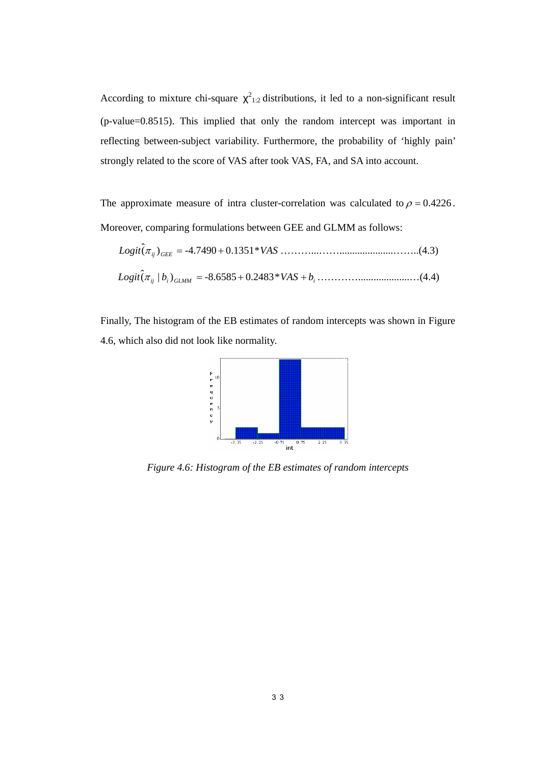According to mixture chi-square  $\chi^2_{1:2}$  distributions, it led to a non-significant result (p-value=0.8515). This implied that only the random intercept was important in reflecting between-subject variability. Furthermore, the probability of 'highly pain' strongly related to the score of VAS after took VAS, FA, and SA into account.

The approximate measure of intra cluster-correlation was calculated to  $\rho = 0.4226$ . Moreover, comparing formulations between GEE and GLMM as follows:

$$
Logit(\pi_{ij})_{GEE} = -4.7490 + 0.1351 * VAS
$$
  

$$
Logit(\pi_{ij} | b_i)_{GLMM} = -8.6585 + 0.2483 * VAS + b_i
$$
.................(4.4)

Finally, The histogram of the EB estimates of random intercepts was shown in Figure 4.6, which also did not look like normality.



*Figure 4.6: Histogram of the EB estimates of random intercepts*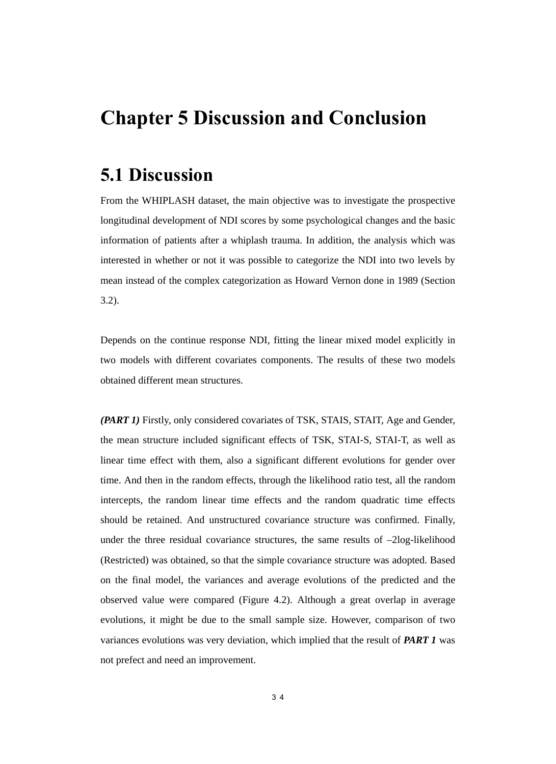## **Chapter 5 Discussion and Conclusion**

## **5.1 Discussion**

From the WHIPLASH dataset, the main objective was to investigate the prospective longitudinal development of NDI scores by some psychological changes and the basic information of patients after a whiplash trauma. In addition, the analysis which was interested in whether or not it was possible to categorize the NDI into two levels by mean instead of the complex categorization as Howard Vernon done in 1989 (Section 3.2).

Depends on the continue response NDI, fitting the linear mixed model explicitly in two models with different covariates components. The results of these two models obtained different mean structures.

*(PART 1)* Firstly, only considered covariates of TSK, STAIS, STAIT, Age and Gender, the mean structure included significant effects of TSK, STAI-S, STAI-T, as well as linear time effect with them, also a significant different evolutions for gender over time. And then in the random effects, through the likelihood ratio test, all the random intercepts, the random linear time effects and the random quadratic time effects should be retained. And unstructured covariance structure was confirmed. Finally, under the three residual covariance structures, the same results of –2log-likelihood (Restricted) was obtained, so that the simple covariance structure was adopted. Based on the final model, the variances and average evolutions of the predicted and the observed value were compared (Figure 4.2). Although a great overlap in average evolutions, it might be due to the small sample size. However, comparison of two variances evolutions was very deviation, which implied that the result of *PART 1* was not prefect and need an improvement.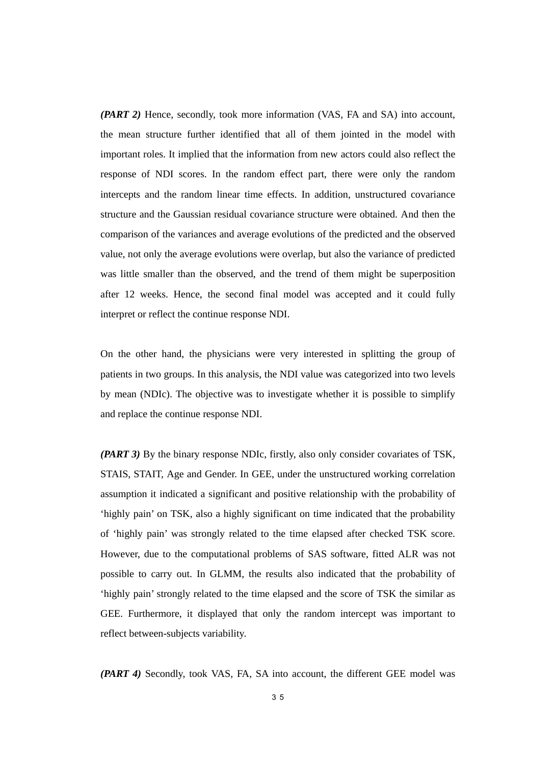*(PART 2)* Hence, secondly, took more information (VAS, FA and SA) into account, the mean structure further identified that all of them jointed in the model with important roles. It implied that the information from new actors could also reflect the response of NDI scores. In the random effect part, there were only the random intercepts and the random linear time effects. In addition, unstructured covariance structure and the Gaussian residual covariance structure were obtained. And then the comparison of the variances and average evolutions of the predicted and the observed value, not only the average evolutions were overlap, but also the variance of predicted was little smaller than the observed, and the trend of them might be superposition after 12 weeks. Hence, the second final model was accepted and it could fully interpret or reflect the continue response NDI.

On the other hand, the physicians were very interested in splitting the group of patients in two groups. In this analysis, the NDI value was categorized into two levels by mean (NDIc). The objective was to investigate whether it is possible to simplify and replace the continue response NDI.

*(PART 3)* By the binary response NDIc, firstly, also only consider covariates of TSK, STAIS, STAIT, Age and Gender. In GEE, under the unstructured working correlation assumption it indicated a significant and positive relationship with the probability of 'highly pain' on TSK, also a highly significant on time indicated that the probability of 'highly pain' was strongly related to the time elapsed after checked TSK score. However, due to the computational problems of SAS software, fitted ALR was not possible to carry out. In GLMM, the results also indicated that the probability of 'highly pain' strongly related to the time elapsed and the score of TSK the similar as GEE. Furthermore, it displayed that only the random intercept was important to reflect between-subjects variability.

*(PART 4)* Secondly, took VAS, FA, SA into account, the different GEE model was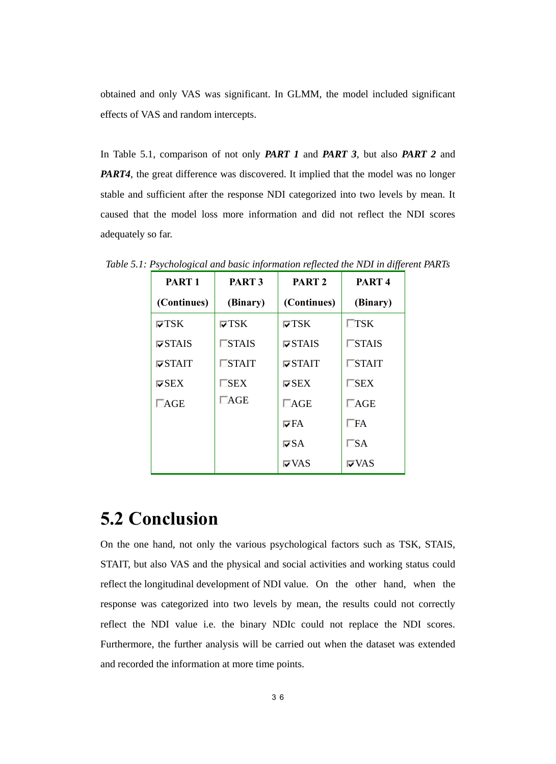obtained and only VAS was significant. In GLMM, the model included significant effects of VAS and random intercepts.

In Table 5.1, comparison of not only *PART 1* and *PART 3*, but also *PART 2* and *PART4*, the great difference was discovered. It implied that the model was no longer stable and sufficient after the response NDI categorized into two levels by mean. It caused that the model loss more information and did not reflect the NDI scores adequately so far.

| PART <sub>1</sub>                | PART <sub>3</sub> | PART <sub>2</sub>                | PART <sub>4</sub> |
|----------------------------------|-------------------|----------------------------------|-------------------|
| (Continues)                      | (Binary)          | (Continues)                      | (Binary)          |
| $\nabla$ TSK                     | $\nabla$ TSK      | $\nabla$ TSK                     | $\mathsf{T}$ SK   |
| $\nabla$ STAIS                   | $\Box$ STAIS      | $\triangledown$ STAIS            | $\Box$ STAIS      |
| $\overline{\triangledown}$ STAIT | $\Box$ STAIT      | $\overline{\triangledown}$ STAIT | $\Box$ STAIT      |
| $\nabla$ SEX                     | $\neg$ SEX        | $\nabla$ SEX                     | $\Box$ SEX        |
| $\Box$ AGE                       | $\Box$ AGE        | $\Box$ AGE                       | $\Box$ AGE        |
|                                  |                   | l⊽FA                             | $\Box$ FA         |
|                                  |                   | $\nabla SA$                      | $\square$ sa      |
|                                  |                   | l⊽VAS                            | l⊽VAS             |

*Table 5.1: Psychological and basic information reflected the NDI in different PARTs* 

## **5.2 Conclusion**

On the one hand, not only the various psychological factors such as TSK, STAIS, STAIT, but also VAS and the physical and social activities and working status could reflect the longitudinal development of NDI value. On the other hand, when the response was categorized into two levels by mean, the results could not correctly reflect the NDI value i.e. the binary NDIc could not replace the NDI scores. Furthermore, the further analysis will be carried out when the dataset was extended and recorded the information at more time points.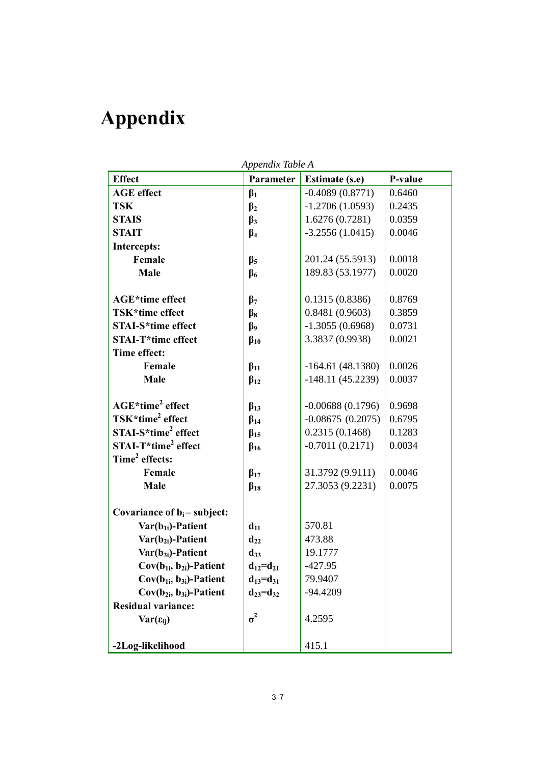# **Appendix**

*Appendix Table A* 

| <b>Effect</b>                   | Parameter            | <b>Estimate (s.e)</b> | P-value |
|---------------------------------|----------------------|-----------------------|---------|
| <b>AGE</b> effect               | $\beta_1$            | $-0.4089(0.8771)$     | 0.6460  |
| <b>TSK</b>                      | $\beta_2$            | $-1.2706(1.0593)$     | 0.2435  |
| <b>STAIS</b>                    | $\beta_3$            | 1.6276(0.7281)        | 0.0359  |
| <b>STAIT</b>                    | $\beta_4$            | $-3.2556(1.0415)$     | 0.0046  |
| <b>Intercepts:</b>              |                      |                       |         |
| Female                          | $\beta_5$            | 201.24 (55.5913)      | 0.0018  |
| Male                            | $\beta_6$            | 189.83 (53.1977)      | 0.0020  |
|                                 |                      |                       |         |
| <b>AGE*time effect</b>          | $\beta$ <sub>7</sub> | 0.1315(0.8386)        | 0.8769  |
| TSK*time effect                 | $\beta_8$            | 0.8481(0.9603)        | 0.3859  |
| <b>STAI-S*time effect</b>       | $\beta$              | $-1.3055(0.6968)$     | 0.0731  |
| <b>STAI-T*time effect</b>       | $\beta_{10}$         | 3.3837 (0.9938)       | 0.0021  |
| Time effect:                    |                      |                       |         |
| Female                          | $\beta_{11}$         | $-164.61(48.1380)$    | 0.0026  |
| Male                            | $\beta_{12}$         | $-148.11(45.2239)$    | 0.0037  |
|                                 |                      |                       |         |
| AGE*time <sup>2</sup> effect    | $\beta_{13}$         | $-0.00688(0.1796)$    | 0.9698  |
| TSK*time <sup>2</sup> effect    | $\beta_{14}$         | $-0.08675(0.2075)$    | 0.6795  |
| STAI-S*time <sup>2</sup> effect | $\beta_{15}$         | 0.2315(0.1468)        | 0.1283  |
| STAI-T*time <sup>2</sup> effect | $\beta_{16}$         | $-0.7011(0.2171)$     | 0.0034  |
| Time <sup>2</sup> effects:      |                      |                       |         |
| Female                          | $\beta_{17}$         | 31.3792 (9.9111)      | 0.0046  |
| Male                            | $\beta_{18}$         | 27.3053 (9.2231)      | 0.0075  |
| Covariance of $b_i$ – subject:  |                      |                       |         |
| $Var(b_{1i})$ -Patient          | $d_{11}$             | 570.81                |         |
| $Var(b_{2i})$ -Patient          | $d_{22}$             | 473.88                |         |
| $Var(b_{3i})$ -Patient          | $d_{33}$             | 19.1777               |         |
| $Cov(b_{1i}, b_{2i})$ -Patient  | $d_{12}=d_{21}$      | $-427.95$             |         |
| $Cov(b_{1i}, b_{3i})$ -Patient  | $d_{13} = d_{31}$    | 79.9407               |         |
| $Cov(b_{2i}, b_{3i})$ -Patient  | $d_{23} = d_{32}$    | $-94.4209$            |         |
| <b>Residual variance:</b>       |                      |                       |         |
| $Var(\epsilon_{ii})$            | $\sigma^2$           | 4.2595                |         |
|                                 |                      |                       |         |
| -2Log-likelihood                |                      | 415.1                 |         |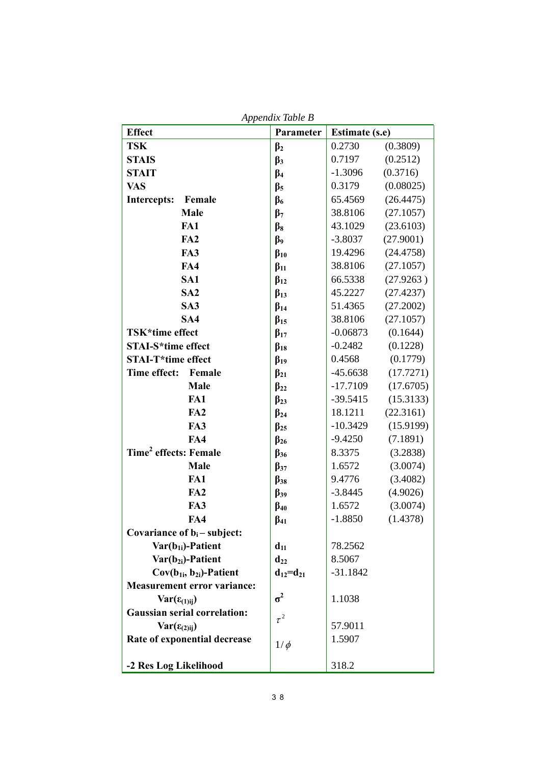| Appendix Table B                    |                 |                       |           |
|-------------------------------------|-----------------|-----------------------|-----------|
| <b>Effect</b>                       | Parameter       | <b>Estimate (s.e)</b> |           |
| <b>TSK</b>                          | $\beta_2$       | 0.2730                | (0.3809)  |
| <b>STAIS</b>                        | $\beta_3$       | 0.7197                | (0.2512)  |
| <b>STAIT</b>                        | $\beta_4$       | $-1.3096$             | (0.3716)  |
| <b>VAS</b>                          | $\beta_5$       | 0.3179                | (0.08025) |
| Intercepts:<br>Female               | $\beta_6$       | 65.4569               | (26.4475) |
| Male                                | $\beta_7$       | 38.8106               | (27.1057) |
| FA1                                 | $\beta_8$       | 43.1029               | (23.6103) |
| FA2                                 | $\beta$         | $-3.8037$             | (27.9001) |
| FA3                                 | $\beta_{10}$    | 19.4296               | (24.4758) |
| FA4                                 | $\beta_{11}$    | 38.8106               | (27.1057) |
| SA1                                 | $\beta_{12}$    | 66.5338               | (27.9263) |
| SA <sub>2</sub>                     | $\beta_{13}$    | 45.2227               | (27.4237) |
| SA <sub>3</sub>                     | $\beta_{14}$    | 51.4365               | (27.2002) |
| SA4                                 | $\beta_{15}$    | 38.8106               | (27.1057) |
| TSK*time effect                     | $\beta_{17}$    | $-0.06873$            | (0.1644)  |
| <b>STAI-S*time effect</b>           | $\beta_{18}$    | $-0.2482$             | (0.1228)  |
| <b>STAI-T*time effect</b>           | $\beta_{19}$    | 0.4568                | (0.1779)  |
| Time effect:<br>Female              | $\beta_{21}$    | $-45.6638$            | (17.7271) |
| Male                                | $\beta_{22}$    | $-17.7109$            | (17.6705) |
| FA1                                 | $\beta_{23}$    | $-39.5415$            | (15.3133) |
| FA2                                 | $\beta_{24}$    | 18.1211               | (22.3161) |
| FA3                                 | $\beta_{25}$    | $-10.3429$            | (15.9199) |
| FA4                                 | $\beta_{26}$    | $-9.4250$             | (7.1891)  |
| Time <sup>2</sup> effects: Female   | $\beta_{36}$    | 8.3375                | (3.2838)  |
| Male                                | $\beta_{37}$    | 1.6572                | (3.0074)  |
| FA1                                 | $\beta_{38}$    | 9.4776                | (3.4082)  |
| FA <sub>2</sub>                     | $\beta_{39}$    | $-3.8445$             | (4.9026)  |
| FA3                                 | $\beta_{40}$    | 1.6572                | (3.0074)  |
| FA4                                 | $\beta_{41}$    | $-1.8850$             | (1.4378)  |
| Covariance of $b_i$ – subject:      |                 |                       |           |
| $Var(b_{1i})$ -Patient              | $d_{11}$        | 78.2562               |           |
| Var(b <sub>2i</sub> )-Patient       | $d_{22}$        | 8.5067                |           |
| $Cov(b_{1i}, b_{2i})$ -Patient      | $d_{12}=d_{21}$ | $-31.1842$            |           |
| <b>Measurement error variance:</b>  |                 |                       |           |
| $Var(\epsilon_{(1)ij})$             | $\sigma^2$      | 1.1038                |           |
| <b>Gaussian serial correlation:</b> | $\tau^2$        |                       |           |
| $Var(\epsilon_{(2)ij})$             |                 | 57.9011               |           |
| Rate of exponential decrease        | $1/\phi$        | 1.5907                |           |
| -2 Res Log Likelihood               |                 | 318.2                 |           |

*Appendix Table B*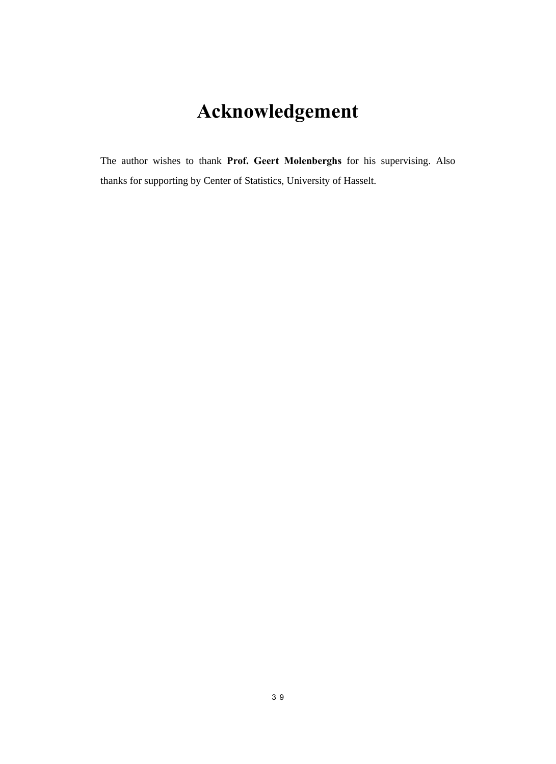# **Acknowledgement**

The author wishes to thank **Prof. Geert Molenberghs** for his supervising. Also thanks for supporting by Center of Statistics, University of Hasselt.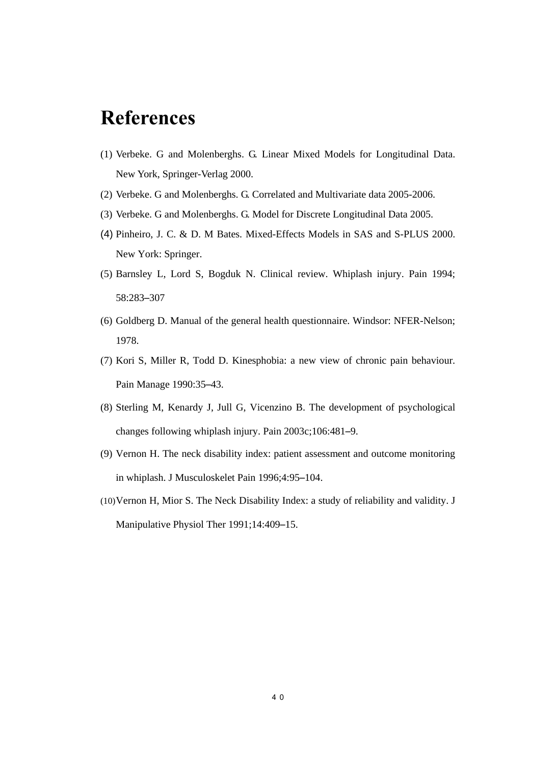# **References**

- (1) Verbeke. G and Molenberghs. G. Linear Mixed Models for Longitudinal Data. New York, Springer-Verlag 2000.
- (2) Verbeke. G and Molenberghs. G. Correlated and Multivariate data 2005-2006.
- (3) Verbeke. G and Molenberghs. G. Model for Discrete Longitudinal Data 2005.
- (4) Pinheiro, J. C. & D. M Bates. Mixed-Effects Models in SAS and S-PLUS 2000. New York: Springer.
- (5) Barnsley L, Lord S, Bogduk N. Clinical review. Whiplash injury. Pain 1994; 58:283–307
- (6) Goldberg D. Manual of the general health questionnaire. Windsor: NFER-Nelson; 1978.
- (7) Kori S, Miller R, Todd D. Kinesphobia: a new view of chronic pain behaviour. Pain Manage 1990:35–43.
- (8) Sterling M, Kenardy J, Jull G, Vicenzino B. The development of psychological changes following whiplash injury. Pain 2003c;106:481–9.
- (9) Vernon H. The neck disability index: patient assessment and outcome monitoring in whiplash. J Musculoskelet Pain 1996;4:95–104.
- (10)Vernon H, Mior S. The Neck Disability Index: a study of reliability and validity. J Manipulative Physiol Ther 1991;14:409–15.